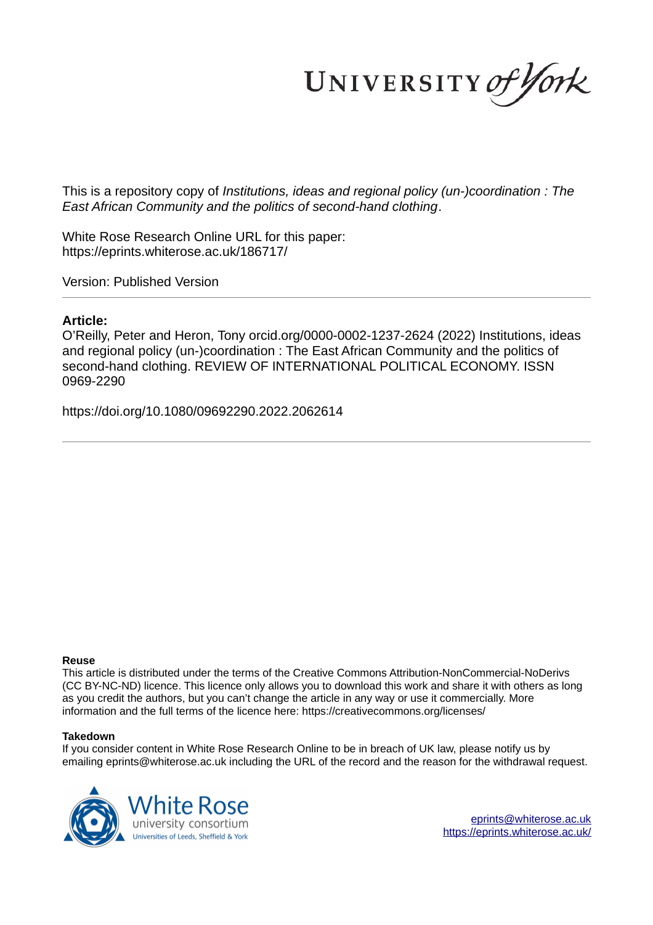UNIVERSITY of York

This is a repository copy of *Institutions, ideas and regional policy (un-)coordination : The East African Community and the politics of second-hand clothing*.

White Rose Research Online URL for this paper: https://eprints.whiterose.ac.uk/186717/

Version: Published Version

## **Article:**

O'Reilly, Peter and Heron, Tony orcid.org/0000-0002-1237-2624 (2022) Institutions, ideas and regional policy (un-)coordination : The East African Community and the politics of second-hand clothing. REVIEW OF INTERNATIONAL POLITICAL ECONOMY. ISSN 0969-2290

https://doi.org/10.1080/09692290.2022.2062614

## **Reuse**

This article is distributed under the terms of the Creative Commons Attribution-NonCommercial-NoDerivs (CC BY-NC-ND) licence. This licence only allows you to download this work and share it with others as long as you credit the authors, but you can't change the article in any way or use it commercially. More information and the full terms of the licence here: https://creativecommons.org/licenses/

## **Takedown**

If you consider content in White Rose Research Online to be in breach of UK law, please notify us by emailing eprints@whiterose.ac.uk including the URL of the record and the reason for the withdrawal request.



eprints@whiterose.ac.uk https://eprints.whiterose.ac.uk/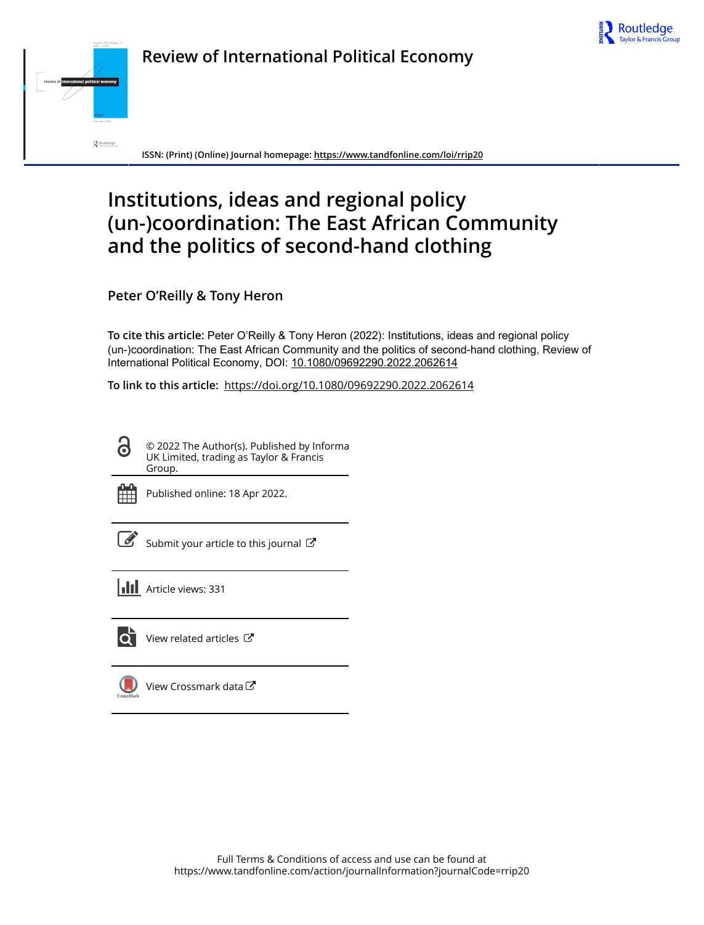



**ISSN: (Print) (Online) Journal homepage: https://www.tandfonline.com/loi/rrip20**

# **Institutions, ideas and regional policy (un-)coordination: The East African Community and the politics of second-hand clothing**

**Peter O'Reilly & Tony Heron**

**To cite this article:** Peter O'Reilly & Tony Heron (2022): Institutions, ideas and regional policy (un-)coordination: The East African Community and the politics of second-hand clothing, Review of International Political Economy, DOI: 10.1080/09692290.2022.2062614

**To link to this article:** https://doi.org/10.1080/09692290.2022.2062614

© 2022 The Author(s). Published by Informa UK Limited, trading as Taylor & Francis Group.



Published online: 18 Apr 2022.

Submit your article to this journal  $\mathbb{Z}$ 

**III** Article views: 331



View related articles  $\mathbb{Z}$ 

View Crossmark data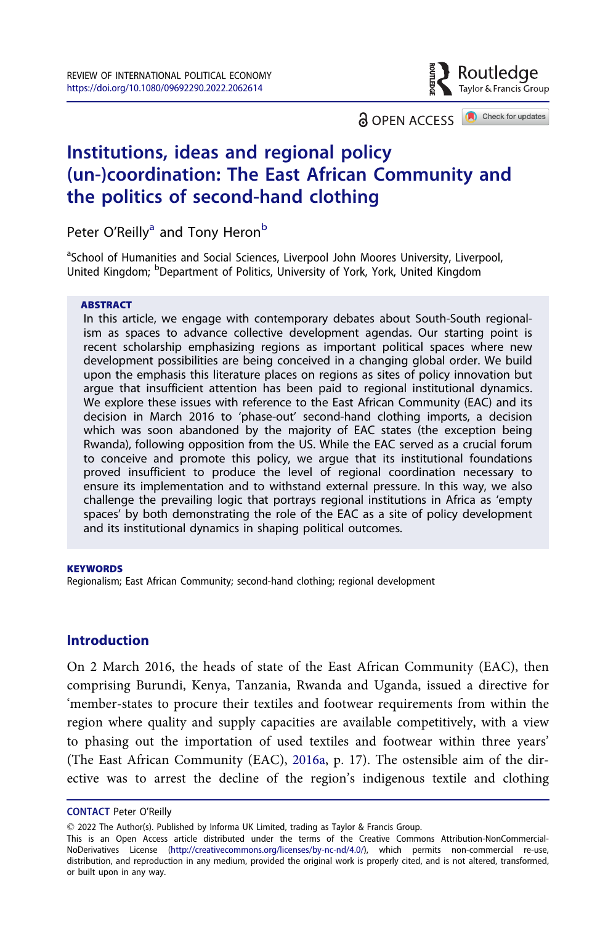Routledae Taylor & Francis Group

Check for updates **a** OPEN ACCESS

## Institutions, ideas and regional policy (un-)coordination: The East African Community and the politics of second-hand clothing

Peter O'Reilly<sup>a</sup> and Tony Heron<sup>b</sup>

<sup>a</sup>School of Humanities and Social Sciences, Liverpool John Moores University, Liverpool, United Kingdom; <sup>b</sup>Department of Politics, University of York, York, United Kingdom

#### ABSTRACT

In this article, we engage with contemporary debates about South-South regionalism as spaces to advance collective development agendas. Our starting point is recent scholarship emphasizing regions as important political spaces where new development possibilities are being conceived in a changing global order. We build upon the emphasis this literature places on regions as sites of policy innovation but argue that insufficient attention has been paid to regional institutional dynamics. We explore these issues with reference to the East African Community (EAC) and its decision in March 2016 to 'phase-out' second-hand clothing imports, a decision which was soon abandoned by the majority of EAC states (the exception being Rwanda), following opposition from the US. While the EAC served as a crucial forum to conceive and promote this policy, we argue that its institutional foundations proved insufficient to produce the level of regional coordination necessary to ensure its implementation and to withstand external pressure. In this way, we also challenge the prevailing logic that portrays regional institutions in Africa as 'empty spaces' by both demonstrating the role of the EAC as a site of policy development and its institutional dynamics in shaping political outcomes.

#### **KEYWORDS**

Regionalism; East African Community; second-hand clothing; regional development

## **Introduction**

On 2 March 2016, the heads of state of the East African Community (EAC), then comprising Burundi, Kenya, Tanzania, Rwanda and Uganda, issued a directive for 'member-states to procure their textiles and footwear requirements from within the region where quality and supply capacities are available competitively, with a view to phasing out the importation of used textiles and footwear within three years' (The East African Community (EAC), 2016a, p. 17). The ostensible aim of the directive was to arrest the decline of the region's indigenous textile and clothing

CONTACT Peter O'Reilly

2022 The Author(s). Published by Informa UK Limited, trading as Taylor & Francis Group.

This is an Open Access article distributed under the terms of the Creative Commons Attribution-NonCommercial-NoDerivatives License (http://creativecommons.org/licenses/by-nc-nd/4.0/), which permits non-commercial re-use, distribution, and reproduction in any medium, provided the original work is properly cited, and is not altered, transformed, or built upon in any way.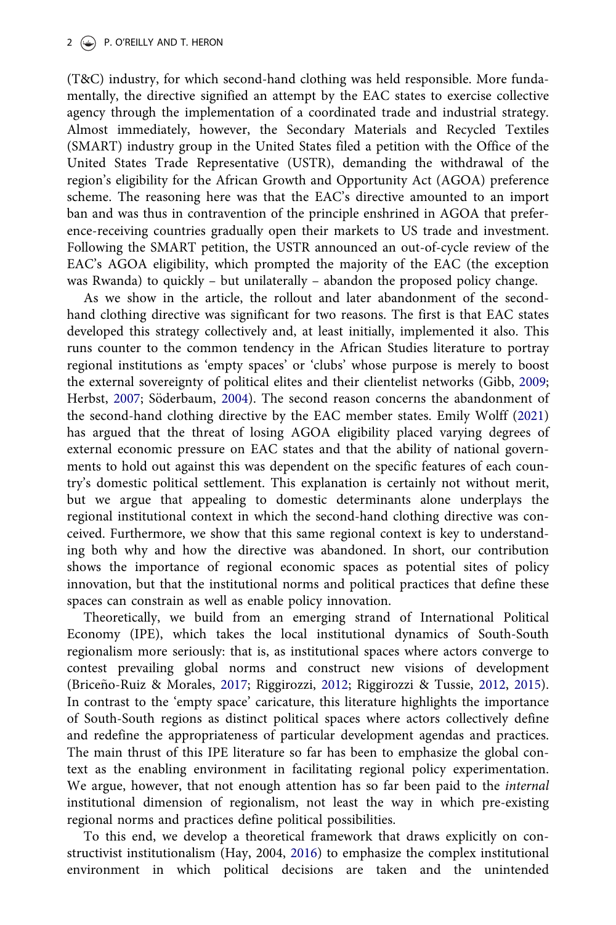(T&C) industry, for which second-hand clothing was held responsible. More fundamentally, the directive signified an attempt by the EAC states to exercise collective agency through the implementation of a coordinated trade and industrial strategy. Almost immediately, however, the Secondary Materials and Recycled Textiles (SMART) industry group in the United States filed a petition with the Office of the United States Trade Representative (USTR), demanding the withdrawal of the region's eligibility for the African Growth and Opportunity Act (AGOA) preference scheme. The reasoning here was that the EAC's directive amounted to an import ban and was thus in contravention of the principle enshrined in AGOA that preference-receiving countries gradually open their markets to US trade and investment. Following the SMART petition, the USTR announced an out-of-cycle review of the EAC's AGOA eligibility, which prompted the majority of the EAC (the exception was Rwanda) to quickly – but unilaterally – abandon the proposed policy change.

As we show in the article, the rollout and later abandonment of the secondhand clothing directive was significant for two reasons. The first is that EAC states developed this strategy collectively and, at least initially, implemented it also. This runs counter to the common tendency in the African Studies literature to portray regional institutions as 'empty spaces' or 'clubs' whose purpose is merely to boost the external sovereignty of political elites and their clientelist networks (Gibb, 2009; Herbst, 2007; Söderbaum, 2004). The second reason concerns the abandonment of the second-hand clothing directive by the EAC member states. Emily Wolff (2021) has argued that the threat of losing AGOA eligibility placed varying degrees of external economic pressure on EAC states and that the ability of national governments to hold out against this was dependent on the specific features of each country's domestic political settlement. This explanation is certainly not without merit, but we argue that appealing to domestic determinants alone underplays the regional institutional context in which the second-hand clothing directive was conceived. Furthermore, we show that this same regional context is key to understanding both why and how the directive was abandoned. In short, our contribution shows the importance of regional economic spaces as potential sites of policy innovation, but that the institutional norms and political practices that define these spaces can constrain as well as enable policy innovation.

Theoretically, we build from an emerging strand of International Political Economy (IPE), which takes the local institutional dynamics of South-South regionalism more seriously: that is, as institutional spaces where actors converge to contest prevailing global norms and construct new visions of development (Briceño-Ruiz & Morales, 2017; Riggirozzi, 2012; Riggirozzi & Tussie, 2012, 2015). In contrast to the 'empty space' caricature, this literature highlights the importance of South-South regions as distinct political spaces where actors collectively define and redefine the appropriateness of particular development agendas and practices. The main thrust of this IPE literature so far has been to emphasize the global context as the enabling environment in facilitating regional policy experimentation. We argue, however, that not enough attention has so far been paid to the *internal* institutional dimension of regionalism, not least the way in which pre-existing regional norms and practices define political possibilities.

To this end, we develop a theoretical framework that draws explicitly on constructivist institutionalism (Hay, 2004, 2016) to emphasize the complex institutional environment in which political decisions are taken and the unintended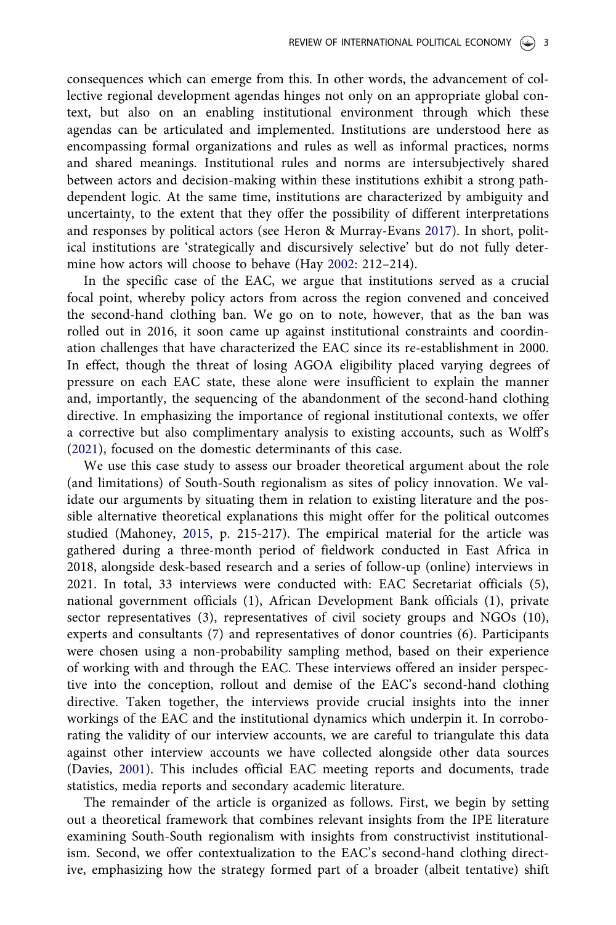consequences which can emerge from this. In other words, the advancement of collective regional development agendas hinges not only on an appropriate global context, but also on an enabling institutional environment through which these agendas can be articulated and implemented. Institutions are understood here as encompassing formal organizations and rules as well as informal practices, norms and shared meanings. Institutional rules and norms are intersubjectively shared between actors and decision-making within these institutions exhibit a strong pathdependent logic. At the same time, institutions are characterized by ambiguity and uncertainty, to the extent that they offer the possibility of different interpretations and responses by political actors (see Heron & Murray-Evans 2017). In short, political institutions are 'strategically and discursively selective' but do not fully determine how actors will choose to behave (Hay 2002: 212–214).

In the specific case of the EAC, we argue that institutions served as a crucial focal point, whereby policy actors from across the region convened and conceived the second-hand clothing ban. We go on to note, however, that as the ban was rolled out in 2016, it soon came up against institutional constraints and coordination challenges that have characterized the EAC since its re-establishment in 2000. In effect, though the threat of losing AGOA eligibility placed varying degrees of pressure on each EAC state, these alone were insufficient to explain the manner and, importantly, the sequencing of the abandonment of the second-hand clothing directive. In emphasizing the importance of regional institutional contexts, we offer a corrective but also complimentary analysis to existing accounts, such as Wolff's (2021), focused on the domestic determinants of this case.

We use this case study to assess our broader theoretical argument about the role (and limitations) of South-South regionalism as sites of policy innovation. We validate our arguments by situating them in relation to existing literature and the possible alternative theoretical explanations this might offer for the political outcomes studied (Mahoney, 2015, p. 215-217). The empirical material for the article was gathered during a three-month period of fieldwork conducted in East Africa in 2018, alongside desk-based research and a series of follow-up (online) interviews in 2021. In total, 33 interviews were conducted with: EAC Secretariat officials (5), national government officials (1), African Development Bank officials (1), private sector representatives (3), representatives of civil society groups and NGOs (10), experts and consultants (7) and representatives of donor countries (6). Participants were chosen using a non-probability sampling method, based on their experience of working with and through the EAC. These interviews offered an insider perspective into the conception, rollout and demise of the EAC's second-hand clothing directive. Taken together, the interviews provide crucial insights into the inner workings of the EAC and the institutional dynamics which underpin it. In corroborating the validity of our interview accounts, we are careful to triangulate this data against other interview accounts we have collected alongside other data sources (Davies, 2001). This includes official EAC meeting reports and documents, trade statistics, media reports and secondary academic literature.

The remainder of the article is organized as follows. First, we begin by setting out a theoretical framework that combines relevant insights from the IPE literature examining South-South regionalism with insights from constructivist institutionalism. Second, we offer contextualization to the EAC's second-hand clothing directive, emphasizing how the strategy formed part of a broader (albeit tentative) shift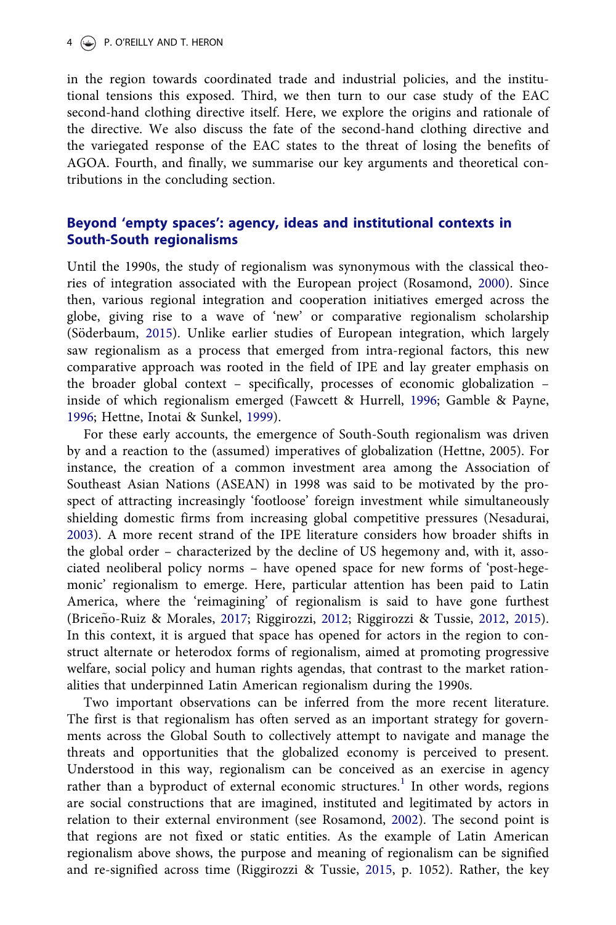#### 4  $\circledast$  P. O'REILLY AND T. HERON

in the region towards coordinated trade and industrial policies, and the institutional tensions this exposed. Third, we then turn to our case study of the EAC second-hand clothing directive itself. Here, we explore the origins and rationale of the directive. We also discuss the fate of the second-hand clothing directive and the variegated response of the EAC states to the threat of losing the benefits of AGOA. Fourth, and finally, we summarise our key arguments and theoretical contributions in the concluding section.

## Beyond 'empty spaces': agency, ideas and institutional contexts in South-South regionalisms

Until the 1990s, the study of regionalism was synonymous with the classical theories of integration associated with the European project (Rosamond, 2000). Since then, various regional integration and cooperation initiatives emerged across the globe, giving rise to a wave of 'new' or comparative regionalism scholarship (Söderbaum, 2015). Unlike earlier studies of European integration, which largely saw regionalism as a process that emerged from intra-regional factors, this new comparative approach was rooted in the field of IPE and lay greater emphasis on the broader global context – specifically, processes of economic globalization – inside of which regionalism emerged (Fawcett & Hurrell, 1996; Gamble & Payne, 1996; Hettne, Inotai & Sunkel, 1999).

For these early accounts, the emergence of South-South regionalism was driven by and a reaction to the (assumed) imperatives of globalization (Hettne, 2005). For instance, the creation of a common investment area among the Association of Southeast Asian Nations (ASEAN) in 1998 was said to be motivated by the prospect of attracting increasingly 'footloose' foreign investment while simultaneously shielding domestic firms from increasing global competitive pressures (Nesadurai, 2003). A more recent strand of the IPE literature considers how broader shifts in the global order – characterized by the decline of US hegemony and, with it, associated neoliberal policy norms – have opened space for new forms of 'post-hegemonic' regionalism to emerge. Here, particular attention has been paid to Latin America, where the 'reimagining' of regionalism is said to have gone furthest (Briceño-Ruiz & Morales, 2017; Riggirozzi, 2012; Riggirozzi & Tussie, 2012, 2015). In this context, it is argued that space has opened for actors in the region to construct alternate or heterodox forms of regionalism, aimed at promoting progressive welfare, social policy and human rights agendas, that contrast to the market rationalities that underpinned Latin American regionalism during the 1990s.

Two important observations can be inferred from the more recent literature. The first is that regionalism has often served as an important strategy for governments across the Global South to collectively attempt to navigate and manage the threats and opportunities that the globalized economy is perceived to present. Understood in this way, regionalism can be conceived as an exercise in agency rather than a byproduct of external economic structures.<sup>1</sup> In other words, regions are social constructions that are imagined, instituted and legitimated by actors in relation to their external environment (see Rosamond, 2002). The second point is that regions are not fixed or static entities. As the example of Latin American regionalism above shows, the purpose and meaning of regionalism can be signified and re-signified across time (Riggirozzi & Tussie, 2015, p. 1052). Rather, the key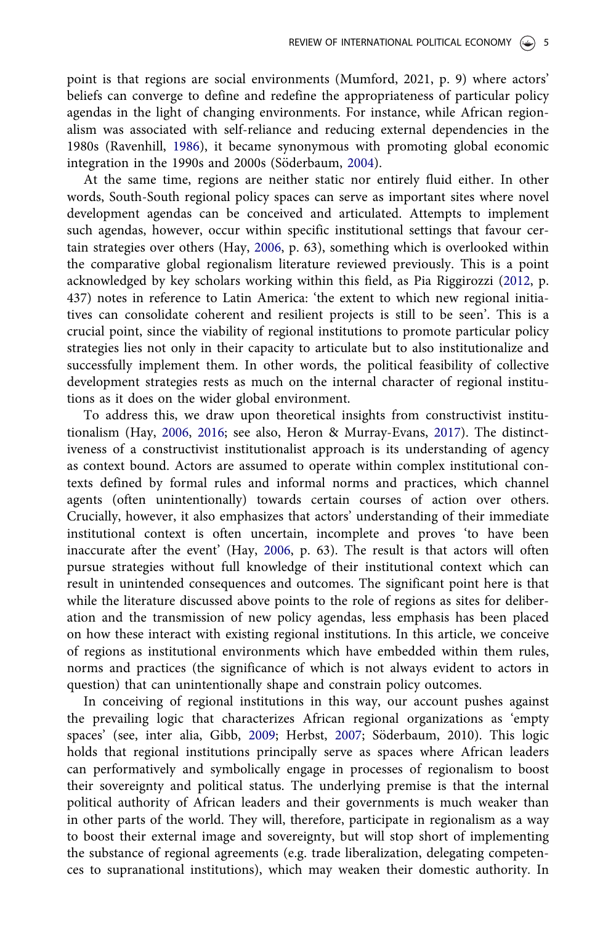point is that regions are social environments (Mumford, 2021, p. 9) where actors' beliefs can converge to define and redefine the appropriateness of particular policy agendas in the light of changing environments. For instance, while African regionalism was associated with self-reliance and reducing external dependencies in the 1980s (Ravenhill, 1986), it became synonymous with promoting global economic integration in the 1990s and 2000s (Söderbaum, 2004).

At the same time, regions are neither static nor entirely fluid either. In other words, South-South regional policy spaces can serve as important sites where novel development agendas can be conceived and articulated. Attempts to implement such agendas, however, occur within specific institutional settings that favour certain strategies over others (Hay, 2006, p. 63), something which is overlooked within the comparative global regionalism literature reviewed previously. This is a point acknowledged by key scholars working within this field, as Pia Riggirozzi (2012, p. 437) notes in reference to Latin America: 'the extent to which new regional initiatives can consolidate coherent and resilient projects is still to be seen'. This is a crucial point, since the viability of regional institutions to promote particular policy strategies lies not only in their capacity to articulate but to also institutionalize and successfully implement them. In other words, the political feasibility of collective development strategies rests as much on the internal character of regional institutions as it does on the wider global environment.

To address this, we draw upon theoretical insights from constructivist institutionalism (Hay, 2006, 2016; see also, Heron & Murray-Evans, 2017). The distinctiveness of a constructivist institutionalist approach is its understanding of agency as context bound. Actors are assumed to operate within complex institutional contexts defined by formal rules and informal norms and practices, which channel agents (often unintentionally) towards certain courses of action over others. Crucially, however, it also emphasizes that actors' understanding of their immediate institutional context is often uncertain, incomplete and proves 'to have been inaccurate after the event' (Hay, 2006, p. 63). The result is that actors will often pursue strategies without full knowledge of their institutional context which can result in unintended consequences and outcomes. The significant point here is that while the literature discussed above points to the role of regions as sites for deliberation and the transmission of new policy agendas, less emphasis has been placed on how these interact with existing regional institutions. In this article, we conceive of regions as institutional environments which have embedded within them rules, norms and practices (the significance of which is not always evident to actors in question) that can unintentionally shape and constrain policy outcomes.

In conceiving of regional institutions in this way, our account pushes against the prevailing logic that characterizes African regional organizations as 'empty spaces' (see, inter alia, Gibb, 2009; Herbst, 2007; Söderbaum, 2010). This logic holds that regional institutions principally serve as spaces where African leaders can performatively and symbolically engage in processes of regionalism to boost their sovereignty and political status. The underlying premise is that the internal political authority of African leaders and their governments is much weaker than in other parts of the world. They will, therefore, participate in regionalism as a way to boost their external image and sovereignty, but will stop short of implementing the substance of regional agreements (e.g. trade liberalization, delegating competences to supranational institutions), which may weaken their domestic authority. In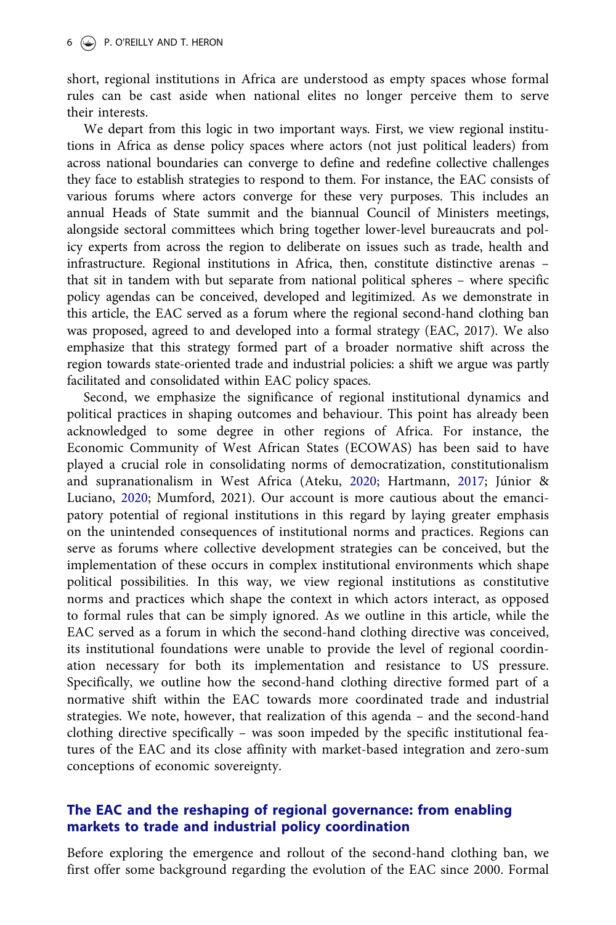short, regional institutions in Africa are understood as empty spaces whose formal rules can be cast aside when national elites no longer perceive them to serve their interests.

We depart from this logic in two important ways. First, we view regional institutions in Africa as dense policy spaces where actors (not just political leaders) from across national boundaries can converge to define and redefine collective challenges they face to establish strategies to respond to them. For instance, the EAC consists of various forums where actors converge for these very purposes. This includes an annual Heads of State summit and the biannual Council of Ministers meetings, alongside sectoral committees which bring together lower-level bureaucrats and policy experts from across the region to deliberate on issues such as trade, health and infrastructure. Regional institutions in Africa, then, constitute distinctive arenas – that sit in tandem with but separate from national political spheres – where specific policy agendas can be conceived, developed and legitimized. As we demonstrate in this article, the EAC served as a forum where the regional second-hand clothing ban was proposed, agreed to and developed into a formal strategy (EAC, 2017). We also emphasize that this strategy formed part of a broader normative shift across the region towards state-oriented trade and industrial policies: a shift we argue was partly facilitated and consolidated within EAC policy spaces.

Second, we emphasize the significance of regional institutional dynamics and political practices in shaping outcomes and behaviour. This point has already been acknowledged to some degree in other regions of Africa. For instance, the Economic Community of West African States (ECOWAS) has been said to have played a crucial role in consolidating norms of democratization, constitutionalism and supranationalism in West Africa (Ateku, 2020; Hartmann, 2017; Júnior & Luciano, 2020; Mumford, 2021). Our account is more cautious about the emancipatory potential of regional institutions in this regard by laying greater emphasis on the unintended consequences of institutional norms and practices. Regions can serve as forums where collective development strategies can be conceived, but the implementation of these occurs in complex institutional environments which shape political possibilities. In this way, we view regional institutions as constitutive norms and practices which shape the context in which actors interact, as opposed to formal rules that can be simply ignored. As we outline in this article, while the EAC served as a forum in which the second-hand clothing directive was conceived, its institutional foundations were unable to provide the level of regional coordination necessary for both its implementation and resistance to US pressure. Specifically, we outline how the second-hand clothing directive formed part of a normative shift within the EAC towards more coordinated trade and industrial strategies. We note, however, that realization of this agenda – and the second-hand clothing directive specifically – was soon impeded by the specific institutional features of the EAC and its close affinity with market-based integration and zero-sum conceptions of economic sovereignty.

## The EAC and the reshaping of regional governance: from enabling markets to trade and industrial policy coordination

Before exploring the emergence and rollout of the second-hand clothing ban, we first offer some background regarding the evolution of the EAC since 2000. Formal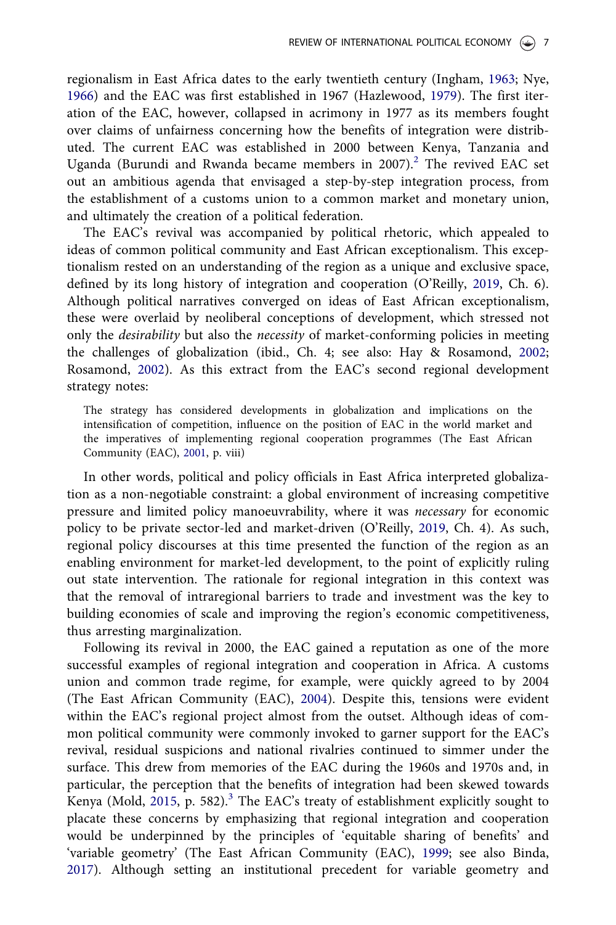regionalism in East Africa dates to the early twentieth century (Ingham, 1963; Nye, 1966) and the EAC was first established in 1967 (Hazlewood, 1979). The first iteration of the EAC, however, collapsed in acrimony in 1977 as its members fought over claims of unfairness concerning how the benefits of integration were distributed. The current EAC was established in 2000 between Kenya, Tanzania and Uganda (Burundi and Rwanda became members in 2007).<sup>2</sup> The revived EAC set out an ambitious agenda that envisaged a step-by-step integration process, from the establishment of a customs union to a common market and monetary union, and ultimately the creation of a political federation.

The EAC's revival was accompanied by political rhetoric, which appealed to ideas of common political community and East African exceptionalism. This exceptionalism rested on an understanding of the region as a unique and exclusive space, defined by its long history of integration and cooperation (O'Reilly, 2019, Ch. 6). Although political narratives converged on ideas of East African exceptionalism, these were overlaid by neoliberal conceptions of development, which stressed not only the *desirability* but also the *necessity* of market-conforming policies in meeting the challenges of globalization (ibid., Ch. 4; see also: Hay & Rosamond, 2002; Rosamond, 2002). As this extract from the EAC's second regional development strategy notes:

The strategy has considered developments in globalization and implications on the intensification of competition, influence on the position of EAC in the world market and the imperatives of implementing regional cooperation programmes (The East African Community (EAC), 2001, p. viii)

In other words, political and policy officials in East Africa interpreted globalization as a non-negotiable constraint: a global environment of increasing competitive pressure and limited policy manoeuvrability, where it was *necessary* for economic policy to be private sector-led and market-driven (O'Reilly, 2019, Ch. 4). As such, regional policy discourses at this time presented the function of the region as an enabling environment for market-led development, to the point of explicitly ruling out state intervention. The rationale for regional integration in this context was that the removal of intraregional barriers to trade and investment was the key to building economies of scale and improving the region's economic competitiveness, thus arresting marginalization.

Following its revival in 2000, the EAC gained a reputation as one of the more successful examples of regional integration and cooperation in Africa. A customs union and common trade regime, for example, were quickly agreed to by 2004 (The East African Community (EAC), 2004). Despite this, tensions were evident within the EAC's regional project almost from the outset. Although ideas of common political community were commonly invoked to garner support for the EAC's revival, residual suspicions and national rivalries continued to simmer under the surface. This drew from memories of the EAC during the 1960s and 1970s and, in particular, the perception that the benefits of integration had been skewed towards Kenya (Mold, 2015, p. 582).<sup>3</sup> The EAC's treaty of establishment explicitly sought to placate these concerns by emphasizing that regional integration and cooperation would be underpinned by the principles of 'equitable sharing of benefits' and 'variable geometry' (The East African Community (EAC), 1999; see also Binda, 2017). Although setting an institutional precedent for variable geometry and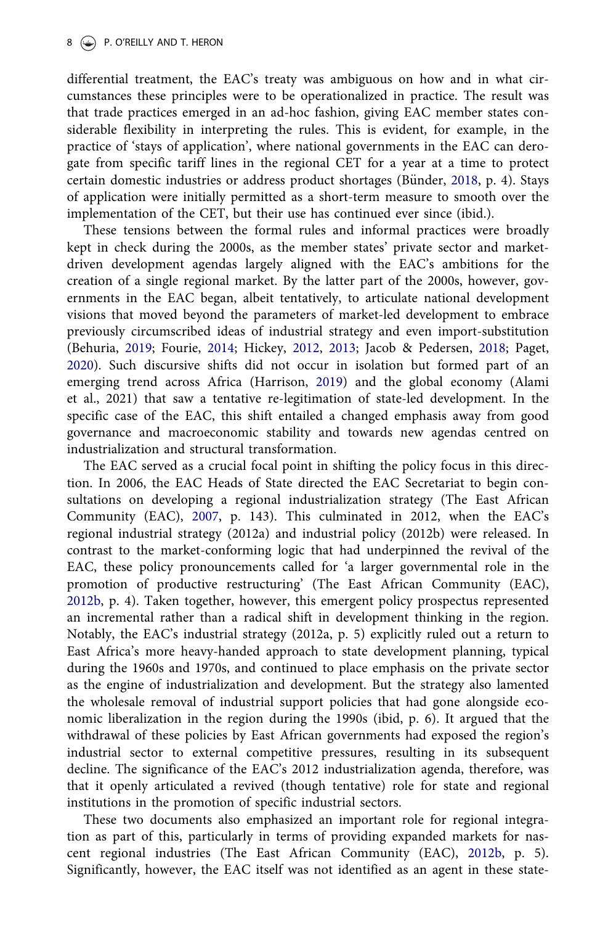differential treatment, the EAC's treaty was ambiguous on how and in what circumstances these principles were to be operationalized in practice. The result was that trade practices emerged in an ad-hoc fashion, giving EAC member states considerable flexibility in interpreting the rules. This is evident, for example, in the practice of 'stays of application', where national governments in the EAC can derogate from specific tariff lines in the regional CET for a year at a time to protect certain domestic industries or address product shortages (Bünder, 2018, p. 4). Stays of application were initially permitted as a short-term measure to smooth over the implementation of the CET, but their use has continued ever since (ibid.).

These tensions between the formal rules and informal practices were broadly kept in check during the 2000s, as the member states' private sector and marketdriven development agendas largely aligned with the EAC's ambitions for the creation of a single regional market. By the latter part of the 2000s, however, governments in the EAC began, albeit tentatively, to articulate national development visions that moved beyond the parameters of market-led development to embrace previously circumscribed ideas of industrial strategy and even import-substitution (Behuria, 2019; Fourie, 2014; Hickey, 2012, 2013; Jacob & Pedersen, 2018; Paget, 2020). Such discursive shifts did not occur in isolation but formed part of an emerging trend across Africa (Harrison, 2019) and the global economy (Alami et al., 2021) that saw a tentative re-legitimation of state-led development. In the specific case of the EAC, this shift entailed a changed emphasis away from good governance and macroeconomic stability and towards new agendas centred on industrialization and structural transformation.

The EAC served as a crucial focal point in shifting the policy focus in this direction. In 2006, the EAC Heads of State directed the EAC Secretariat to begin consultations on developing a regional industrialization strategy (The East African Community (EAC), 2007, p. 143). This culminated in 2012, when the EAC's regional industrial strategy (2012a) and industrial policy (2012b) were released. In contrast to the market-conforming logic that had underpinned the revival of the EAC, these policy pronouncements called for 'a larger governmental role in the promotion of productive restructuring' (The East African Community (EAC), 2012b, p. 4). Taken together, however, this emergent policy prospectus represented an incremental rather than a radical shift in development thinking in the region. Notably, the EAC's industrial strategy (2012a, p. 5) explicitly ruled out a return to East Africa's more heavy-handed approach to state development planning, typical during the 1960s and 1970s, and continued to place emphasis on the private sector as the engine of industrialization and development. But the strategy also lamented the wholesale removal of industrial support policies that had gone alongside economic liberalization in the region during the 1990s (ibid, p. 6). It argued that the withdrawal of these policies by East African governments had exposed the region's industrial sector to external competitive pressures, resulting in its subsequent decline. The significance of the EAC's 2012 industrialization agenda, therefore, was that it openly articulated a revived (though tentative) role for state and regional institutions in the promotion of specific industrial sectors.

These two documents also emphasized an important role for regional integration as part of this, particularly in terms of providing expanded markets for nascent regional industries (The East African Community (EAC), 2012b, p. 5). Significantly, however, the EAC itself was not identified as an agent in these state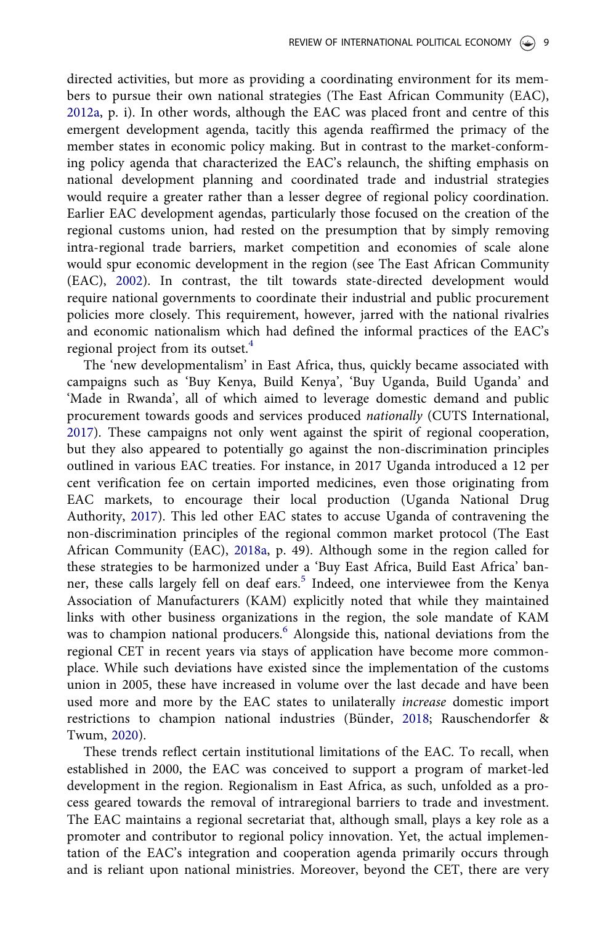directed activities, but more as providing a coordinating environment for its members to pursue their own national strategies (The East African Community (EAC), 2012a, p. i). In other words, although the EAC was placed front and centre of this emergent development agenda, tacitly this agenda reaffirmed the primacy of the member states in economic policy making. But in contrast to the market-conforming policy agenda that characterized the EAC's relaunch, the shifting emphasis on national development planning and coordinated trade and industrial strategies would require a greater rather than a lesser degree of regional policy coordination. Earlier EAC development agendas, particularly those focused on the creation of the regional customs union, had rested on the presumption that by simply removing intra-regional trade barriers, market competition and economies of scale alone would spur economic development in the region (see The East African Community (EAC), 2002). In contrast, the tilt towards state-directed development would require national governments to coordinate their industrial and public procurement policies more closely. This requirement, however, jarred with the national rivalries and economic nationalism which had defined the informal practices of the EAC's regional project from its outset.<sup>4</sup>

The 'new developmentalism' in East Africa, thus, quickly became associated with campaigns such as 'Buy Kenya, Build Kenya', 'Buy Uganda, Build Uganda' and 'Made in Rwanda', all of which aimed to leverage domestic demand and public procurement towards goods and services produced *nationally* (CUTS International, 2017). These campaigns not only went against the spirit of regional cooperation, but they also appeared to potentially go against the non-discrimination principles outlined in various EAC treaties. For instance, in 2017 Uganda introduced a 12 per cent verification fee on certain imported medicines, even those originating from EAC markets, to encourage their local production (Uganda National Drug Authority, 2017). This led other EAC states to accuse Uganda of contravening the non-discrimination principles of the regional common market protocol (The East African Community (EAC), 2018a, p. 49). Although some in the region called for these strategies to be harmonized under a 'Buy East Africa, Build East Africa' banner, these calls largely fell on deaf ears.<sup>5</sup> Indeed, one interviewee from the Kenya Association of Manufacturers (KAM) explicitly noted that while they maintained links with other business organizations in the region, the sole mandate of KAM was to champion national producers.<sup>6</sup> Alongside this, national deviations from the regional CET in recent years via stays of application have become more commonplace. While such deviations have existed since the implementation of the customs union in 2005, these have increased in volume over the last decade and have been used more and more by the EAC states to unilaterally *increase* domestic import restrictions to champion national industries (Bünder, 2018; Rauschendorfer & Twum, 2020).

These trends reflect certain institutional limitations of the EAC. To recall, when established in 2000, the EAC was conceived to support a program of market-led development in the region. Regionalism in East Africa, as such, unfolded as a process geared towards the removal of intraregional barriers to trade and investment. The EAC maintains a regional secretariat that, although small, plays a key role as a promoter and contributor to regional policy innovation. Yet, the actual implementation of the EAC's integration and cooperation agenda primarily occurs through and is reliant upon national ministries. Moreover, beyond the CET, there are very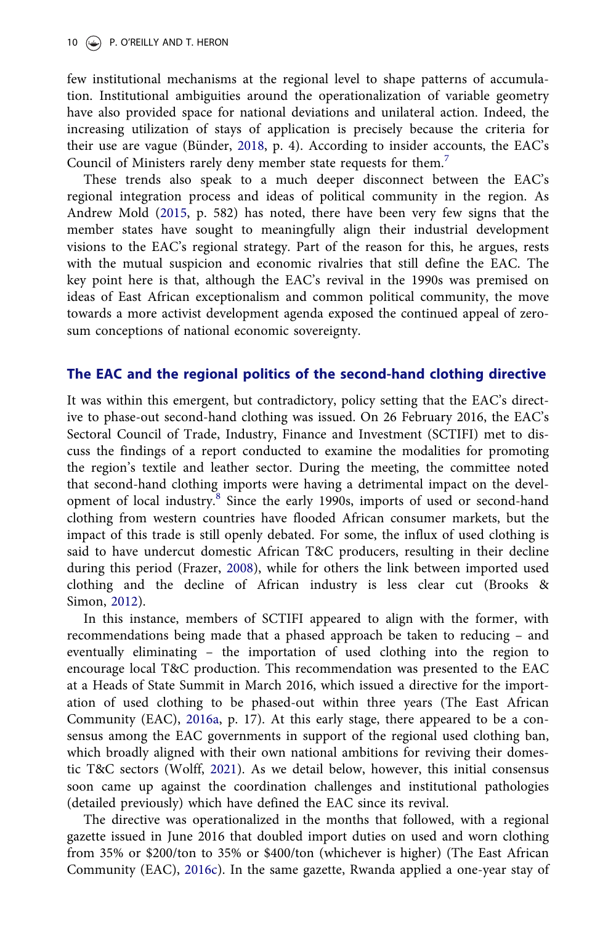few institutional mechanisms at the regional level to shape patterns of accumulation. Institutional ambiguities around the operationalization of variable geometry have also provided space for national deviations and unilateral action. Indeed, the increasing utilization of stays of application is precisely because the criteria for their use are vague (Bünder, 2018, p. 4). According to insider accounts, the EAC's Council of Ministers rarely deny member state requests for them.<sup>7</sup>

These trends also speak to a much deeper disconnect between the EAC's regional integration process and ideas of political community in the region. As Andrew Mold (2015, p. 582) has noted, there have been very few signs that the member states have sought to meaningfully align their industrial development visions to the EAC's regional strategy. Part of the reason for this, he argues, rests with the mutual suspicion and economic rivalries that still define the EAC. The key point here is that, although the EAC's revival in the 1990s was premised on ideas of East African exceptionalism and common political community, the move towards a more activist development agenda exposed the continued appeal of zerosum conceptions of national economic sovereignty.

### The EAC and the regional politics of the second-hand clothing directive

It was within this emergent, but contradictory, policy setting that the EAC's directive to phase-out second-hand clothing was issued. On 26 February 2016, the EAC's Sectoral Council of Trade, Industry, Finance and Investment (SCTIFI) met to discuss the findings of a report conducted to examine the modalities for promoting the region's textile and leather sector. During the meeting, the committee noted that second-hand clothing imports were having a detrimental impact on the development of local industry.<sup>8</sup> Since the early 1990s, imports of used or second-hand clothing from western countries have flooded African consumer markets, but the impact of this trade is still openly debated. For some, the influx of used clothing is said to have undercut domestic African T&C producers, resulting in their decline during this period (Frazer, 2008), while for others the link between imported used clothing and the decline of African industry is less clear cut (Brooks & Simon, 2012).

In this instance, members of SCTIFI appeared to align with the former, with recommendations being made that a phased approach be taken to reducing – and eventually eliminating – the importation of used clothing into the region to encourage local T&C production. This recommendation was presented to the EAC at a Heads of State Summit in March 2016, which issued a directive for the importation of used clothing to be phased-out within three years (The East African Community (EAC), 2016a, p. 17). At this early stage, there appeared to be a consensus among the EAC governments in support of the regional used clothing ban, which broadly aligned with their own national ambitions for reviving their domestic T&C sectors (Wolff, 2021). As we detail below, however, this initial consensus soon came up against the coordination challenges and institutional pathologies (detailed previously) which have defined the EAC since its revival.

The directive was operationalized in the months that followed, with a regional gazette issued in June 2016 that doubled import duties on used and worn clothing from 35% or \$200/ton to 35% or \$400/ton (whichever is higher) (The East African Community (EAC), 2016c). In the same gazette, Rwanda applied a one-year stay of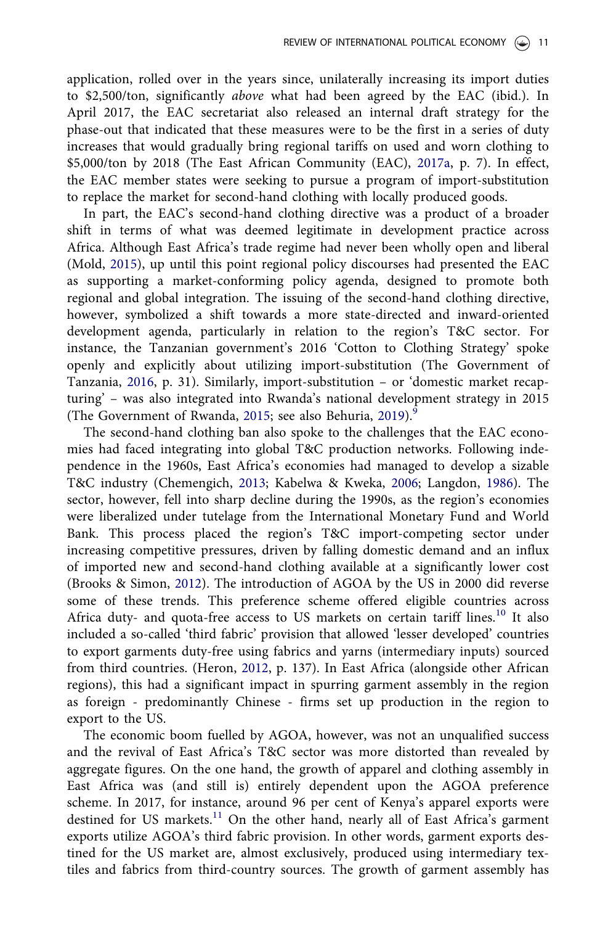application, rolled over in the years since, unilaterally increasing its import duties to \$2,500/ton, significantly *above* what had been agreed by the EAC (ibid.). In April 2017, the EAC secretariat also released an internal draft strategy for the phase-out that indicated that these measures were to be the first in a series of duty increases that would gradually bring regional tariffs on used and worn clothing to \$5,000/ton by 2018 (The East African Community (EAC), 2017a, p. 7). In effect, the EAC member states were seeking to pursue a program of import-substitution to replace the market for second-hand clothing with locally produced goods.

In part, the EAC's second-hand clothing directive was a product of a broader shift in terms of what was deemed legitimate in development practice across Africa. Although East Africa's trade regime had never been wholly open and liberal (Mold, 2015), up until this point regional policy discourses had presented the EAC as supporting a market-conforming policy agenda, designed to promote both regional and global integration. The issuing of the second-hand clothing directive, however, symbolized a shift towards a more state-directed and inward-oriented development agenda, particularly in relation to the region's T&C sector. For instance, the Tanzanian government's 2016 'Cotton to Clothing Strategy' spoke openly and explicitly about utilizing import-substitution (The Government of Tanzania, 2016, p. 31). Similarly, import-substitution – or 'domestic market recapturing' – was also integrated into Rwanda's national development strategy in 2015 (The Government of Rwanda, 2015; see also Behuria, 2019).<sup>9</sup>

The second-hand clothing ban also spoke to the challenges that the EAC economies had faced integrating into global T&C production networks. Following independence in the 1960s, East Africa's economies had managed to develop a sizable T&C industry (Chemengich, 2013; Kabelwa & Kweka, 2006; Langdon, 1986). The sector, however, fell into sharp decline during the 1990s, as the region's economies were liberalized under tutelage from the International Monetary Fund and World Bank. This process placed the region's T&C import-competing sector under increasing competitive pressures, driven by falling domestic demand and an influx of imported new and second-hand clothing available at a significantly lower cost (Brooks & Simon, 2012). The introduction of AGOA by the US in 2000 did reverse some of these trends. This preference scheme offered eligible countries across Africa duty- and quota-free access to US markets on certain tariff lines.<sup>10</sup> It also included a so-called 'third fabric' provision that allowed 'lesser developed' countries to export garments duty-free using fabrics and yarns (intermediary inputs) sourced from third countries. (Heron, 2012, p. 137). In East Africa (alongside other African regions), this had a significant impact in spurring garment assembly in the region as foreign - predominantly Chinese - firms set up production in the region to export to the US.

The economic boom fuelled by AGOA, however, was not an unqualified success and the revival of East Africa's T&C sector was more distorted than revealed by aggregate figures. On the one hand, the growth of apparel and clothing assembly in East Africa was (and still is) entirely dependent upon the AGOA preference scheme. In 2017, for instance, around 96 per cent of Kenya's apparel exports were destined for US markets.<sup>11</sup> On the other hand, nearly all of East Africa's garment exports utilize AGOA's third fabric provision. In other words, garment exports destined for the US market are, almost exclusively, produced using intermediary textiles and fabrics from third-country sources. The growth of garment assembly has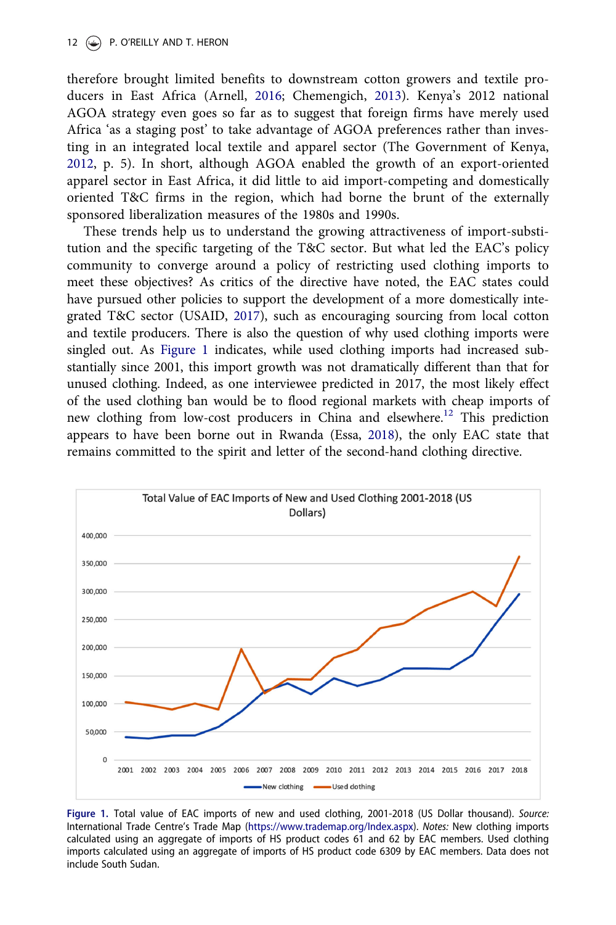therefore brought limited benefits to downstream cotton growers and textile producers in East Africa (Arnell, 2016; Chemengich, 2013). Kenya's 2012 national AGOA strategy even goes so far as to suggest that foreign firms have merely used Africa 'as a staging post' to take advantage of AGOA preferences rather than investing in an integrated local textile and apparel sector (The Government of Kenya, 2012, p. 5). In short, although AGOA enabled the growth of an export-oriented apparel sector in East Africa, it did little to aid import-competing and domestically oriented T&C firms in the region, which had borne the brunt of the externally sponsored liberalization measures of the 1980s and 1990s.

These trends help us to understand the growing attractiveness of import-substitution and the specific targeting of the T&C sector. But what led the EAC's policy community to converge around a policy of restricting used clothing imports to meet these objectives? As critics of the directive have noted, the EAC states could have pursued other policies to support the development of a more domestically integrated T&C sector (USAID, 2017), such as encouraging sourcing from local cotton and textile producers. There is also the question of why used clothing imports were singled out. As Figure 1 indicates, while used clothing imports had increased substantially since 2001, this import growth was not dramatically different than that for unused clothing. Indeed, as one interviewee predicted in 2017, the most likely effect of the used clothing ban would be to flood regional markets with cheap imports of new clothing from low-cost producers in China and elsewhere.<sup>12</sup> This prediction appears to have been borne out in Rwanda (Essa, 2018), the only EAC state that remains committed to the spirit and letter of the second-hand clothing directive.



Figure 1. Total value of EAC imports of new and used clothing, 2001-2018 (US Dollar thousand). Source: International Trade Centre's Trade Map (https://www.trademap.org/Index.aspx). Notes: New clothing imports calculated using an aggregate of imports of HS product codes 61 and 62 by EAC members. Used clothing imports calculated using an aggregate of imports of HS product code 6309 by EAC members. Data does not include South Sudan.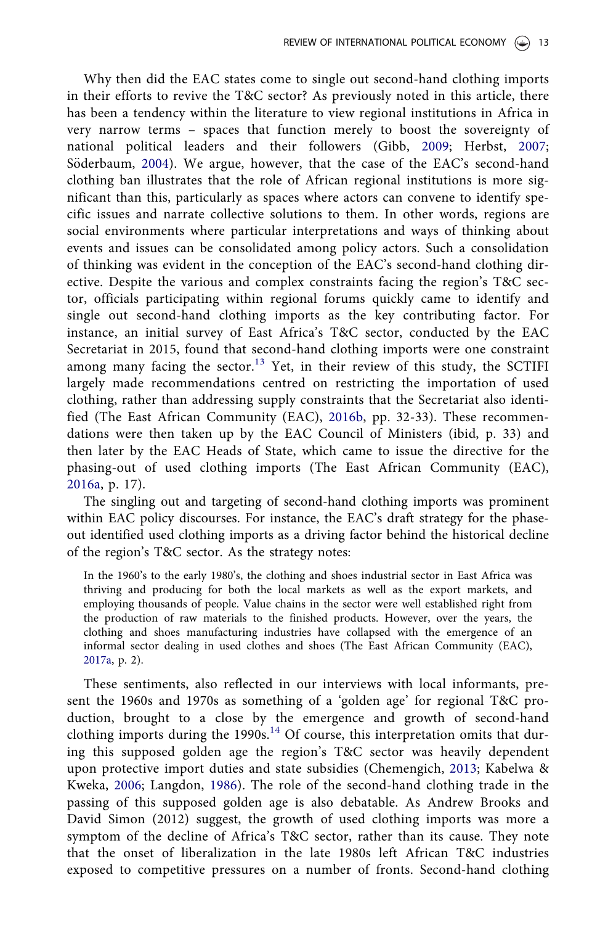Why then did the EAC states come to single out second-hand clothing imports in their efforts to revive the T&C sector? As previously noted in this article, there has been a tendency within the literature to view regional institutions in Africa in very narrow terms – spaces that function merely to boost the sovereignty of national political leaders and their followers (Gibb, 2009; Herbst, 2007; Söderbaum, 2004). We argue, however, that the case of the EAC's second-hand clothing ban illustrates that the role of African regional institutions is more significant than this, particularly as spaces where actors can convene to identify specific issues and narrate collective solutions to them. In other words, regions are social environments where particular interpretations and ways of thinking about events and issues can be consolidated among policy actors. Such a consolidation of thinking was evident in the conception of the EAC's second-hand clothing directive. Despite the various and complex constraints facing the region's T&C sector, officials participating within regional forums quickly came to identify and single out second-hand clothing imports as the key contributing factor. For instance, an initial survey of East Africa's T&C sector, conducted by the EAC Secretariat in 2015, found that second-hand clothing imports were one constraint among many facing the sector.<sup>13</sup> Yet, in their review of this study, the SCTIFI largely made recommendations centred on restricting the importation of used clothing, rather than addressing supply constraints that the Secretariat also identified (The East African Community (EAC), 2016b, pp. 32-33). These recommendations were then taken up by the EAC Council of Ministers (ibid, p. 33) and then later by the EAC Heads of State, which came to issue the directive for the phasing-out of used clothing imports (The East African Community (EAC), 2016a, p. 17).

The singling out and targeting of second-hand clothing imports was prominent within EAC policy discourses. For instance, the EAC's draft strategy for the phaseout identified used clothing imports as a driving factor behind the historical decline of the region's T&C sector. As the strategy notes:

In the 1960's to the early 1980's, the clothing and shoes industrial sector in East Africa was thriving and producing for both the local markets as well as the export markets, and employing thousands of people. Value chains in the sector were well established right from the production of raw materials to the finished products. However, over the years, the clothing and shoes manufacturing industries have collapsed with the emergence of an informal sector dealing in used clothes and shoes (The East African Community (EAC), 2017a, p. 2).

These sentiments, also reflected in our interviews with local informants, present the 1960s and 1970s as something of a 'golden age' for regional T&C production, brought to a close by the emergence and growth of second-hand clothing imports during the 1990s.<sup>14</sup> Of course, this interpretation omits that during this supposed golden age the region's T&C sector was heavily dependent upon protective import duties and state subsidies (Chemengich, 2013; Kabelwa & Kweka, 2006; Langdon, 1986). The role of the second-hand clothing trade in the passing of this supposed golden age is also debatable. As Andrew Brooks and David Simon (2012) suggest, the growth of used clothing imports was more a symptom of the decline of Africa's T&C sector, rather than its cause. They note that the onset of liberalization in the late 1980s left African T&C industries exposed to competitive pressures on a number of fronts. Second-hand clothing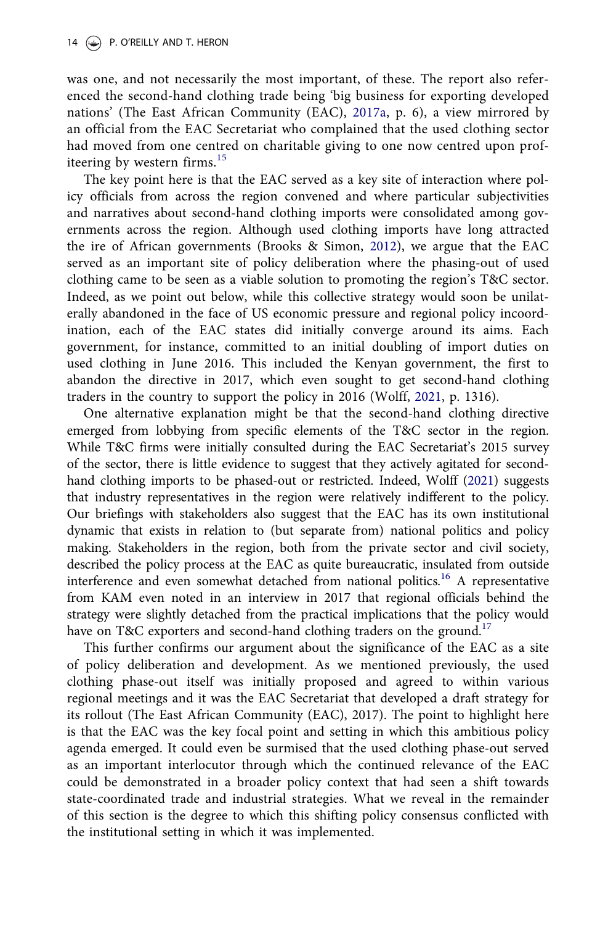was one, and not necessarily the most important, of these. The report also referenced the second-hand clothing trade being 'big business for exporting developed nations' (The East African Community (EAC), 2017a, p. 6), a view mirrored by an official from the EAC Secretariat who complained that the used clothing sector had moved from one centred on charitable giving to one now centred upon profiteering by western firms.<sup>15</sup>

The key point here is that the EAC served as a key site of interaction where policy officials from across the region convened and where particular subjectivities and narratives about second-hand clothing imports were consolidated among governments across the region. Although used clothing imports have long attracted the ire of African governments (Brooks & Simon, 2012), we argue that the EAC served as an important site of policy deliberation where the phasing-out of used clothing came to be seen as a viable solution to promoting the region's T&C sector. Indeed, as we point out below, while this collective strategy would soon be unilaterally abandoned in the face of US economic pressure and regional policy incoordination, each of the EAC states did initially converge around its aims. Each government, for instance, committed to an initial doubling of import duties on used clothing in June 2016. This included the Kenyan government, the first to abandon the directive in 2017, which even sought to get second-hand clothing traders in the country to support the policy in 2016 (Wolff, 2021, p. 1316).

One alternative explanation might be that the second-hand clothing directive emerged from lobbying from specific elements of the T&C sector in the region. While T&C firms were initially consulted during the EAC Secretariat's 2015 survey of the sector, there is little evidence to suggest that they actively agitated for secondhand clothing imports to be phased-out or restricted. Indeed, Wolff (2021) suggests that industry representatives in the region were relatively indifferent to the policy. Our briefings with stakeholders also suggest that the EAC has its own institutional dynamic that exists in relation to (but separate from) national politics and policy making. Stakeholders in the region, both from the private sector and civil society, described the policy process at the EAC as quite bureaucratic, insulated from outside interference and even somewhat detached from national politics.<sup>16</sup> A representative from KAM even noted in an interview in 2017 that regional officials behind the strategy were slightly detached from the practical implications that the policy would have on T&C exporters and second-hand clothing traders on the ground.<sup>17</sup>

This further confirms our argument about the significance of the EAC as a site of policy deliberation and development. As we mentioned previously, the used clothing phase-out itself was initially proposed and agreed to within various regional meetings and it was the EAC Secretariat that developed a draft strategy for its rollout (The East African Community (EAC), 2017). The point to highlight here is that the EAC was the key focal point and setting in which this ambitious policy agenda emerged. It could even be surmised that the used clothing phase-out served as an important interlocutor through which the continued relevance of the EAC could be demonstrated in a broader policy context that had seen a shift towards state-coordinated trade and industrial strategies. What we reveal in the remainder of this section is the degree to which this shifting policy consensus conflicted with the institutional setting in which it was implemented.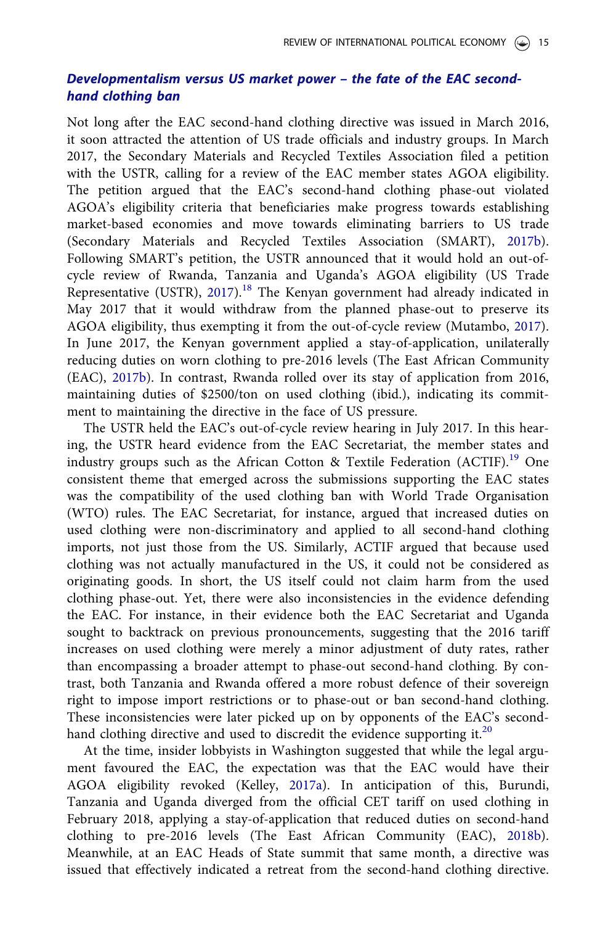## Developmentalism versus US market power – the fate of the EAC secondhand clothing ban

Not long after the EAC second-hand clothing directive was issued in March 2016, it soon attracted the attention of US trade officials and industry groups. In March 2017, the Secondary Materials and Recycled Textiles Association filed a petition with the USTR, calling for a review of the EAC member states AGOA eligibility. The petition argued that the EAC's second-hand clothing phase-out violated AGOA's eligibility criteria that beneficiaries make progress towards establishing market-based economies and move towards eliminating barriers to US trade (Secondary Materials and Recycled Textiles Association (SMART), 2017b). Following SMART's petition, the USTR announced that it would hold an out-ofcycle review of Rwanda, Tanzania and Uganda's AGOA eligibility (US Trade Representative (USTR), 2017).<sup>18</sup> The Kenyan government had already indicated in May 2017 that it would withdraw from the planned phase-out to preserve its AGOA eligibility, thus exempting it from the out-of-cycle review (Mutambo, 2017). In June 2017, the Kenyan government applied a stay-of-application, unilaterally reducing duties on worn clothing to pre-2016 levels (The East African Community (EAC), 2017b). In contrast, Rwanda rolled over its stay of application from 2016, maintaining duties of \$2500/ton on used clothing (ibid.), indicating its commitment to maintaining the directive in the face of US pressure.

The USTR held the EAC's out-of-cycle review hearing in July 2017. In this hearing, the USTR heard evidence from the EAC Secretariat, the member states and industry groups such as the African Cotton & Textile Federation (ACTIF).<sup>19</sup> One consistent theme that emerged across the submissions supporting the EAC states was the compatibility of the used clothing ban with World Trade Organisation (WTO) rules. The EAC Secretariat, for instance, argued that increased duties on used clothing were non-discriminatory and applied to all second-hand clothing imports, not just those from the US. Similarly, ACTIF argued that because used clothing was not actually manufactured in the US, it could not be considered as originating goods. In short, the US itself could not claim harm from the used clothing phase-out. Yet, there were also inconsistencies in the evidence defending the EAC. For instance, in their evidence both the EAC Secretariat and Uganda sought to backtrack on previous pronouncements, suggesting that the 2016 tariff increases on used clothing were merely a minor adjustment of duty rates, rather than encompassing a broader attempt to phase-out second-hand clothing. By contrast, both Tanzania and Rwanda offered a more robust defence of their sovereign right to impose import restrictions or to phase-out or ban second-hand clothing. These inconsistencies were later picked up on by opponents of the EAC's secondhand clothing directive and used to discredit the evidence supporting it.<sup>20</sup>

At the time, insider lobbyists in Washington suggested that while the legal argument favoured the EAC, the expectation was that the EAC would have their AGOA eligibility revoked (Kelley, 2017a). In anticipation of this, Burundi, Tanzania and Uganda diverged from the official CET tariff on used clothing in February 2018, applying a stay-of-application that reduced duties on second-hand clothing to pre-2016 levels (The East African Community (EAC), 2018b). Meanwhile, at an EAC Heads of State summit that same month, a directive was issued that effectively indicated a retreat from the second-hand clothing directive.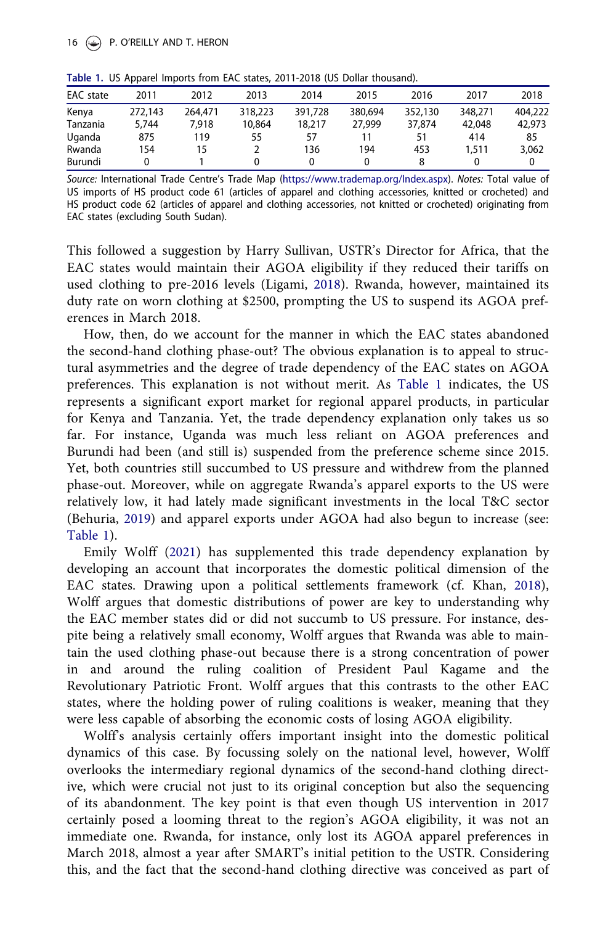| EAC state | 2011    | 2012    | 2013    | 2014    | 2015    | 2016    | 2017    | 2018    |  |
|-----------|---------|---------|---------|---------|---------|---------|---------|---------|--|
| Kenya     | 272,143 | 264,471 | 318,223 | 391,728 | 380,694 | 352,130 | 348,271 | 404,222 |  |
| Tanzania  | 5.744   | 7.918   | 10,864  | 18,217  | 27,999  | 37,874  | 42,048  | 42,973  |  |
| Uganda    | 875     | 119     | 55      | 57      |         |         | 414     | 85      |  |
| Rwanda    | 154     |         |         | 136     | 194     | 453     | 1,511   | 3,062   |  |
| Burundi   |         |         |         |         |         |         |         |         |  |
|           |         |         |         |         |         |         |         |         |  |

Table 1. US Apparel Imports from EAC states, 2011-2018 (US Dollar thousand).

Source: International Trade Centre's Trade Map (https://www.trademap.org/Index.aspx). Notes: Total value of US imports of HS product code 61 (articles of apparel and clothing accessories, knitted or crocheted) and HS product code 62 (articles of apparel and clothing accessories, not knitted or crocheted) originating from EAC states (excluding South Sudan).

This followed a suggestion by Harry Sullivan, USTR's Director for Africa, that the EAC states would maintain their AGOA eligibility if they reduced their tariffs on used clothing to pre-2016 levels (Ligami, 2018). Rwanda, however, maintained its duty rate on worn clothing at \$2500, prompting the US to suspend its AGOA preferences in March 2018.

How, then, do we account for the manner in which the EAC states abandoned the second-hand clothing phase-out? The obvious explanation is to appeal to structural asymmetries and the degree of trade dependency of the EAC states on AGOA preferences. This explanation is not without merit. As Table 1 indicates, the US represents a significant export market for regional apparel products, in particular for Kenya and Tanzania. Yet, the trade dependency explanation only takes us so far. For instance, Uganda was much less reliant on AGOA preferences and Burundi had been (and still is) suspended from the preference scheme since 2015. Yet, both countries still succumbed to US pressure and withdrew from the planned phase-out. Moreover, while on aggregate Rwanda's apparel exports to the US were relatively low, it had lately made significant investments in the local T&C sector (Behuria, 2019) and apparel exports under AGOA had also begun to increase (see: Table 1).

Emily Wolff (2021) has supplemented this trade dependency explanation by developing an account that incorporates the domestic political dimension of the EAC states. Drawing upon a political settlements framework (cf. Khan, 2018), Wolff argues that domestic distributions of power are key to understanding why the EAC member states did or did not succumb to US pressure. For instance, despite being a relatively small economy, Wolff argues that Rwanda was able to maintain the used clothing phase-out because there is a strong concentration of power in and around the ruling coalition of President Paul Kagame and the Revolutionary Patriotic Front. Wolff argues that this contrasts to the other EAC states, where the holding power of ruling coalitions is weaker, meaning that they were less capable of absorbing the economic costs of losing AGOA eligibility.

Wolff's analysis certainly offers important insight into the domestic political dynamics of this case. By focussing solely on the national level, however, Wolff overlooks the intermediary regional dynamics of the second-hand clothing directive, which were crucial not just to its original conception but also the sequencing of its abandonment. The key point is that even though US intervention in 2017 certainly posed a looming threat to the region's AGOA eligibility, it was not an immediate one. Rwanda, for instance, only lost its AGOA apparel preferences in March 2018, almost a year after SMART's initial petition to the USTR. Considering this, and the fact that the second-hand clothing directive was conceived as part of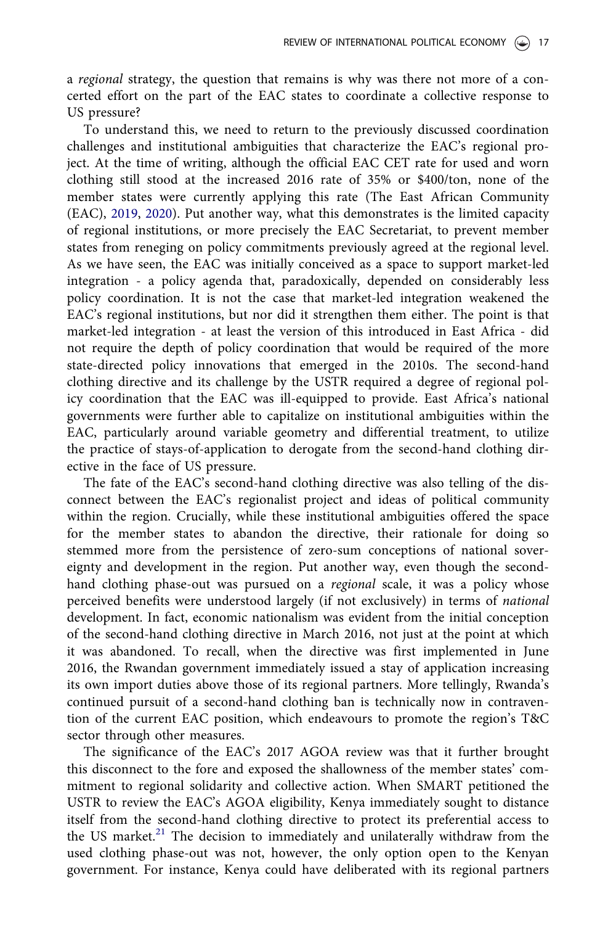a *regional* strategy, the question that remains is why was there not more of a concerted effort on the part of the EAC states to coordinate a collective response to US pressure?

To understand this, we need to return to the previously discussed coordination challenges and institutional ambiguities that characterize the EAC's regional project. At the time of writing, although the official EAC CET rate for used and worn clothing still stood at the increased 2016 rate of 35% or \$400/ton, none of the member states were currently applying this rate (The East African Community (EAC), 2019, 2020). Put another way, what this demonstrates is the limited capacity of regional institutions, or more precisely the EAC Secretariat, to prevent member states from reneging on policy commitments previously agreed at the regional level. As we have seen, the EAC was initially conceived as a space to support market-led integration - a policy agenda that, paradoxically, depended on considerably less policy coordination. It is not the case that market-led integration weakened the EAC's regional institutions, but nor did it strengthen them either. The point is that market-led integration - at least the version of this introduced in East Africa - did not require the depth of policy coordination that would be required of the more state-directed policy innovations that emerged in the 2010s. The second-hand clothing directive and its challenge by the USTR required a degree of regional policy coordination that the EAC was ill-equipped to provide. East Africa's national governments were further able to capitalize on institutional ambiguities within the EAC, particularly around variable geometry and differential treatment, to utilize the practice of stays-of-application to derogate from the second-hand clothing directive in the face of US pressure.

The fate of the EAC's second-hand clothing directive was also telling of the disconnect between the EAC's regionalist project and ideas of political community within the region. Crucially, while these institutional ambiguities offered the space for the member states to abandon the directive, their rationale for doing so stemmed more from the persistence of zero-sum conceptions of national sovereignty and development in the region. Put another way, even though the secondhand clothing phase-out was pursued on a *regional* scale, it was a policy whose perceived benefits were understood largely (if not exclusively) in terms of *national* development. In fact, economic nationalism was evident from the initial conception of the second-hand clothing directive in March 2016, not just at the point at which it was abandoned. To recall, when the directive was first implemented in June 2016, the Rwandan government immediately issued a stay of application increasing its own import duties above those of its regional partners. More tellingly, Rwanda's continued pursuit of a second-hand clothing ban is technically now in contravention of the current EAC position, which endeavours to promote the region's T&C sector through other measures.

The significance of the EAC's 2017 AGOA review was that it further brought this disconnect to the fore and exposed the shallowness of the member states' commitment to regional solidarity and collective action. When SMART petitioned the USTR to review the EAC's AGOA eligibility, Kenya immediately sought to distance itself from the second-hand clothing directive to protect its preferential access to the US market.<sup>21</sup> The decision to immediately and unilaterally withdraw from the used clothing phase-out was not, however, the only option open to the Kenyan government. For instance, Kenya could have deliberated with its regional partners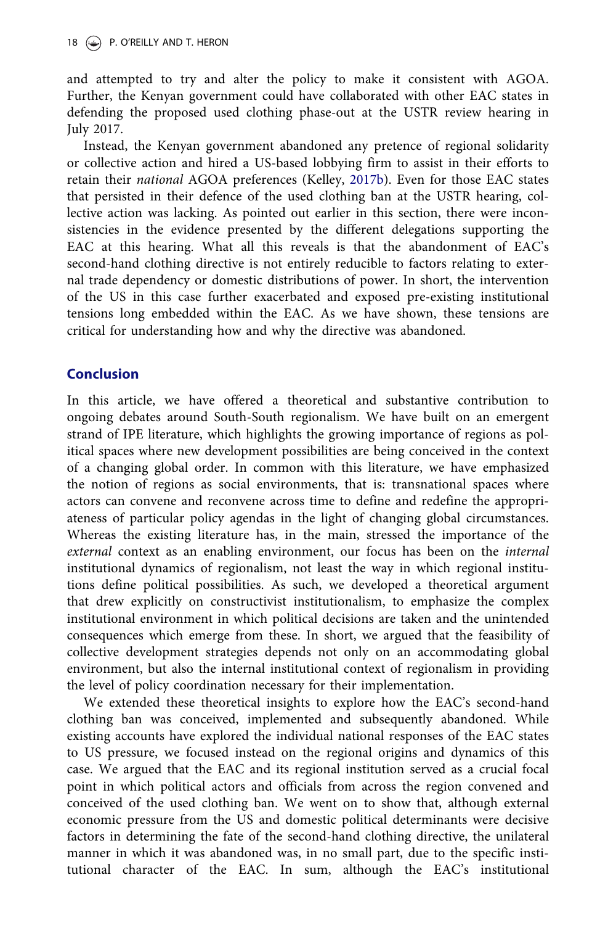and attempted to try and alter the policy to make it consistent with AGOA. Further, the Kenyan government could have collaborated with other EAC states in defending the proposed used clothing phase-out at the USTR review hearing in July 2017.

Instead, the Kenyan government abandoned any pretence of regional solidarity or collective action and hired a US-based lobbying firm to assist in their efforts to retain their *national* AGOA preferences (Kelley, 2017b). Even for those EAC states that persisted in their defence of the used clothing ban at the USTR hearing, collective action was lacking. As pointed out earlier in this section, there were inconsistencies in the evidence presented by the different delegations supporting the EAC at this hearing. What all this reveals is that the abandonment of EAC's second-hand clothing directive is not entirely reducible to factors relating to external trade dependency or domestic distributions of power. In short, the intervention of the US in this case further exacerbated and exposed pre-existing institutional tensions long embedded within the EAC. As we have shown, these tensions are critical for understanding how and why the directive was abandoned.

## Conclusion

In this article, we have offered a theoretical and substantive contribution to ongoing debates around South-South regionalism. We have built on an emergent strand of IPE literature, which highlights the growing importance of regions as political spaces where new development possibilities are being conceived in the context of a changing global order. In common with this literature, we have emphasized the notion of regions as social environments, that is: transnational spaces where actors can convene and reconvene across time to define and redefine the appropriateness of particular policy agendas in the light of changing global circumstances. Whereas the existing literature has, in the main, stressed the importance of the *external* context as an enabling environment, our focus has been on the *internal* institutional dynamics of regionalism, not least the way in which regional institutions define political possibilities. As such, we developed a theoretical argument that drew explicitly on constructivist institutionalism, to emphasize the complex institutional environment in which political decisions are taken and the unintended consequences which emerge from these. In short, we argued that the feasibility of collective development strategies depends not only on an accommodating global environment, but also the internal institutional context of regionalism in providing the level of policy coordination necessary for their implementation.

We extended these theoretical insights to explore how the EAC's second-hand clothing ban was conceived, implemented and subsequently abandoned. While existing accounts have explored the individual national responses of the EAC states to US pressure, we focused instead on the regional origins and dynamics of this case. We argued that the EAC and its regional institution served as a crucial focal point in which political actors and officials from across the region convened and conceived of the used clothing ban. We went on to show that, although external economic pressure from the US and domestic political determinants were decisive factors in determining the fate of the second-hand clothing directive, the unilateral manner in which it was abandoned was, in no small part, due to the specific institutional character of the EAC. In sum, although the EAC's institutional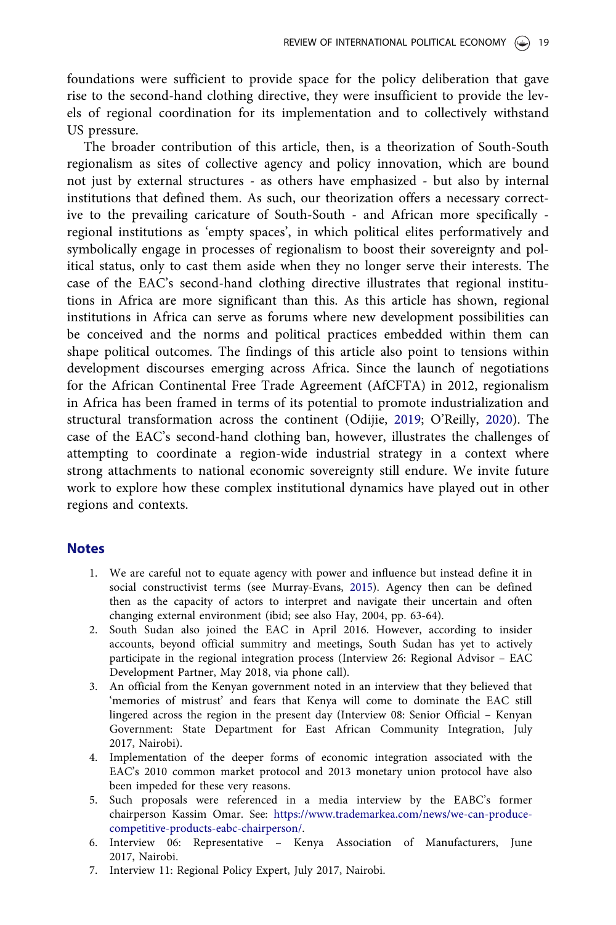foundations were sufficient to provide space for the policy deliberation that gave rise to the second-hand clothing directive, they were insufficient to provide the levels of regional coordination for its implementation and to collectively withstand US pressure.

The broader contribution of this article, then, is a theorization of South-South regionalism as sites of collective agency and policy innovation, which are bound not just by external structures - as others have emphasized - but also by internal institutions that defined them. As such, our theorization offers a necessary corrective to the prevailing caricature of South-South - and African more specifically regional institutions as 'empty spaces', in which political elites performatively and symbolically engage in processes of regionalism to boost their sovereignty and political status, only to cast them aside when they no longer serve their interests. The case of the EAC's second-hand clothing directive illustrates that regional institutions in Africa are more significant than this. As this article has shown, regional institutions in Africa can serve as forums where new development possibilities can be conceived and the norms and political practices embedded within them can shape political outcomes. The findings of this article also point to tensions within development discourses emerging across Africa. Since the launch of negotiations for the African Continental Free Trade Agreement (AfCFTA) in 2012, regionalism in Africa has been framed in terms of its potential to promote industrialization and structural transformation across the continent (Odijie, 2019; O'Reilly, 2020). The case of the EAC's second-hand clothing ban, however, illustrates the challenges of attempting to coordinate a region-wide industrial strategy in a context where strong attachments to national economic sovereignty still endure. We invite future work to explore how these complex institutional dynamics have played out in other regions and contexts.

#### **Notes**

- 1. We are careful not to equate agency with power and influence but instead define it in social constructivist terms (see Murray-Evans, 2015). Agency then can be defined then as the capacity of actors to interpret and navigate their uncertain and often changing external environment (ibid; see also Hay, 2004, pp. 63-64).
- 2. South Sudan also joined the EAC in April 2016. However, according to insider accounts, beyond official summitry and meetings, South Sudan has yet to actively participate in the regional integration process (Interview 26: Regional Advisor – EAC Development Partner, May 2018, via phone call).
- 3. An official from the Kenyan government noted in an interview that they believed that 'memories of mistrust' and fears that Kenya will come to dominate the EAC still lingered across the region in the present day (Interview 08: Senior Official – Kenyan Government: State Department for East African Community Integration, July 2017, Nairobi).
- 4. Implementation of the deeper forms of economic integration associated with the EAC's 2010 common market protocol and 2013 monetary union protocol have also been impeded for these very reasons.
- 5. Such proposals were referenced in a media interview by the EABC's former chairperson Kassim Omar. See: https://www.trademarkea.com/news/we-can-producecompetitive-products-eabc-chairperson/.
- 6. Interview 06: Representative Kenya Association of Manufacturers, June 2017, Nairobi.
- 7. Interview 11: Regional Policy Expert, July 2017, Nairobi.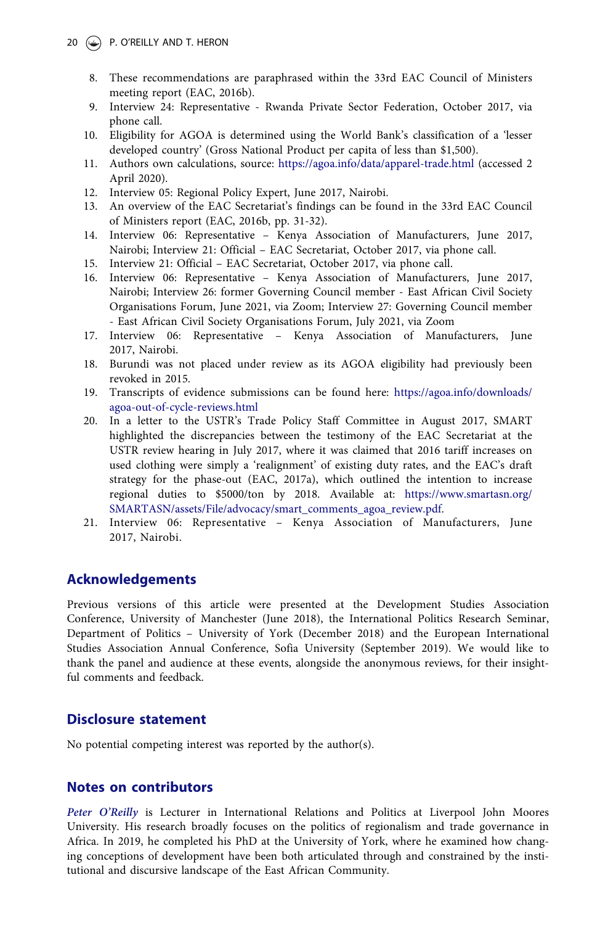- 8. These recommendations are paraphrased within the 33rd EAC Council of Ministers meeting report (EAC, 2016b).
- 9. Interview 24: Representative Rwanda Private Sector Federation, October 2017, via phone call.
- 10. Eligibility for AGOA is determined using the World Bank's classification of a 'lesser developed country' (Gross National Product per capita of less than \$1,500).
- 11. Authors own calculations, source: https://agoa.info/data/apparel-trade.html (accessed 2 April 2020).
- 12. Interview 05: Regional Policy Expert, June 2017, Nairobi.
- 13. An overview of the EAC Secretariat's findings can be found in the 33rd EAC Council of Ministers report (EAC, 2016b, pp. 31-32).
- 14. Interview 06: Representative Kenya Association of Manufacturers, June 2017, Nairobi; Interview 21: Official – EAC Secretariat, October 2017, via phone call.
- 15. Interview 21: Official EAC Secretariat, October 2017, via phone call.
- 16. Interview 06: Representative Kenya Association of Manufacturers, June 2017, Nairobi; Interview 26: former Governing Council member - East African Civil Society Organisations Forum, June 2021, via Zoom; Interview 27: Governing Council member - East African Civil Society Organisations Forum, July 2021, via Zoom
- 17. Interview 06: Representative Kenya Association of Manufacturers, June 2017, Nairobi.
- 18. Burundi was not placed under review as its AGOA eligibility had previously been revoked in 2015.
- 19. Transcripts of evidence submissions can be found here: https://agoa.info/downloads/ agoa-out-of-cycle-reviews.html
- 20. In a letter to the USTR's Trade Policy Staff Committee in August 2017, SMART highlighted the discrepancies between the testimony of the EAC Secretariat at the USTR review hearing in July 2017, where it was claimed that 2016 tariff increases on used clothing were simply a 'realignment' of existing duty rates, and the EAC's draft strategy for the phase-out (EAC, 2017a), which outlined the intention to increase regional duties to \$5000/ton by 2018. Available at: https://www.smartasn.org/ SMARTASN/assets/File/advocacy/smart\_comments\_agoa\_review.pdf.
- 21. Interview 06: Representative Kenya Association of Manufacturers, June 2017, Nairobi.

### Acknowledgements

Previous versions of this article were presented at the Development Studies Association Conference, University of Manchester (June 2018), the International Politics Research Seminar, Department of Politics – University of York (December 2018) and the European International Studies Association Annual Conference, Sofia University (September 2019). We would like to thank the panel and audience at these events, alongside the anonymous reviews, for their insightful comments and feedback.

### Disclosure statement

No potential competing interest was reported by the author(s).

#### Notes on contributors

Peter O'Reilly is Lecturer in International Relations and Politics at Liverpool John Moores University. His research broadly focuses on the politics of regionalism and trade governance in Africa. In 2019, he completed his PhD at the University of York, where he examined how changing conceptions of development have been both articulated through and constrained by the institutional and discursive landscape of the East African Community.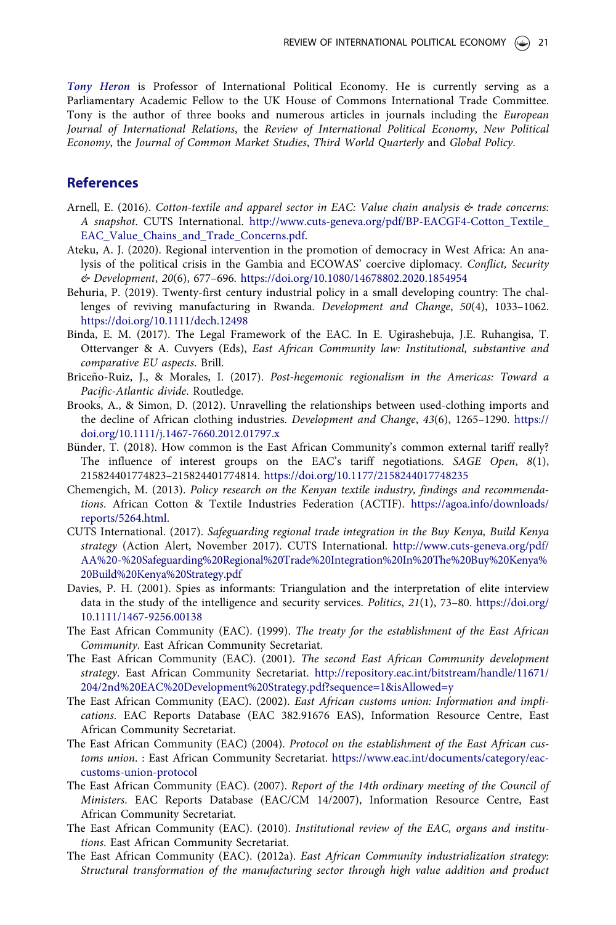Tony Heron is Professor of International Political Economy. He is currently serving as a Parliamentary Academic Fellow to the UK House of Commons International Trade Committee. Tony is the author of three books and numerous articles in journals including the *European Journal of International Relations*, the *Review of International Political Economy*, *New Political Economy*, the *Journal of Common Market Studies*, *Third World Quarterly* and *Global Policy*.

#### References

- Arnell, E. (2016). *Cotton-textile and apparel sector in EAC: Value chain analysis & trade concerns: A snapshot*. CUTS International. http://www.cuts-geneva.org/pdf/BP-EACGF4-Cotton\_Textile\_ EAC\_Value\_Chains\_and\_Trade\_Concerns.pdf.
- Ateku, A. J. (2020). Regional intervention in the promotion of democracy in West Africa: An analysis of the political crisis in the Gambia and ECOWAS' coercive diplomacy. *Conflict, Security & Development*, *20*(6), 677–696. https://doi.org/10.1080/14678802.2020.1854954
- Behuria, P. (2019). Twenty-first century industrial policy in a small developing country: The challenges of reviving manufacturing in Rwanda. *Development and Change*, *50*(4), 1033–1062. https://doi.org/10.1111/dech.12498
- Binda, E. M. (2017). The Legal Framework of the EAC. In E. Ugirashebuja, J.E. Ruhangisa, T. Ottervanger & A. Cuvyers (Eds), *East African Community law: Institutional, substantive and comparative EU aspects*. Brill.
- Briceño-Ruiz, J., & Morales, I. (2017). Post-hegemonic regionalism in the Americas: Toward a *Pacific-Atlantic divide*. Routledge.
- Brooks, A., & Simon, D. (2012). Unravelling the relationships between used-clothing imports and the decline of African clothing industries. *Development and Change*, *43*(6), 1265–1290. https:// doi.org/10.1111/j.1467-7660.2012.01797.x
- Bünder, T. (2018). How common is the East African Community's common external tariff really? The influence of interest groups on the EAC's tariff negotiations. *SAGE Open*, *8*(1), 215824401774823–215824401774814. https://doi.org/10.1177/2158244017748235
- Chemengich, M. (2013). *Policy research on the Kenyan textile industry, findings and recommendations*. African Cotton & Textile Industries Federation (ACTIF). https://agoa.info/downloads/ reports/5264.html.
- CUTS International. (2017). *Safeguarding regional trade integration in the Buy Kenya, Build Kenya strategy* (Action Alert, November 2017). CUTS International. http://www.cuts-geneva.org/pdf/ AA%20-%20Safeguarding%20Regional%20Trade%20Integration%20In%20The%20Buy%20Kenya% 20Build%20Kenya%20Strategy.pdf
- Davies, P. H. (2001). Spies as informants: Triangulation and the interpretation of elite interview data in the study of the intelligence and security services. *Politics*, *21*(1), 73–80. https://doi.org/ 10.1111/1467-9256.00138
- The East African Community (EAC). (1999). *The treaty for the establishment of the East African Community*. East African Community Secretariat.
- The East African Community (EAC). (2001). *The second East African Community development strategy*. East African Community Secretariat. http://repository.eac.int/bitstream/handle/11671/ 204/2nd%20EAC%20Development%20Strategy.pdf?sequence=1&isAllowed=y
- The East African Community (EAC). (2002). *East African customs union: Information and implications*. EAC Reports Database (EAC 382.91676 EAS), Information Resource Centre, East African Community Secretariat.
- The East African Community (EAC) (2004). *Protocol on the establishment of the East African customs union*. : East African Community Secretariat. https://www.eac.int/documents/category/eaccustoms-union-protocol
- The East African Community (EAC). (2007). *Report of the 14th ordinary meeting of the Council of Ministers*. EAC Reports Database (EAC/CM 14/2007), Information Resource Centre, East African Community Secretariat.
- The East African Community (EAC). (2010). *Institutional review of the EAC, organs and institutions*. East African Community Secretariat.
- The East African Community (EAC). (2012a). *East African Community industrialization strategy: Structural transformation of the manufacturing sector through high value addition and product*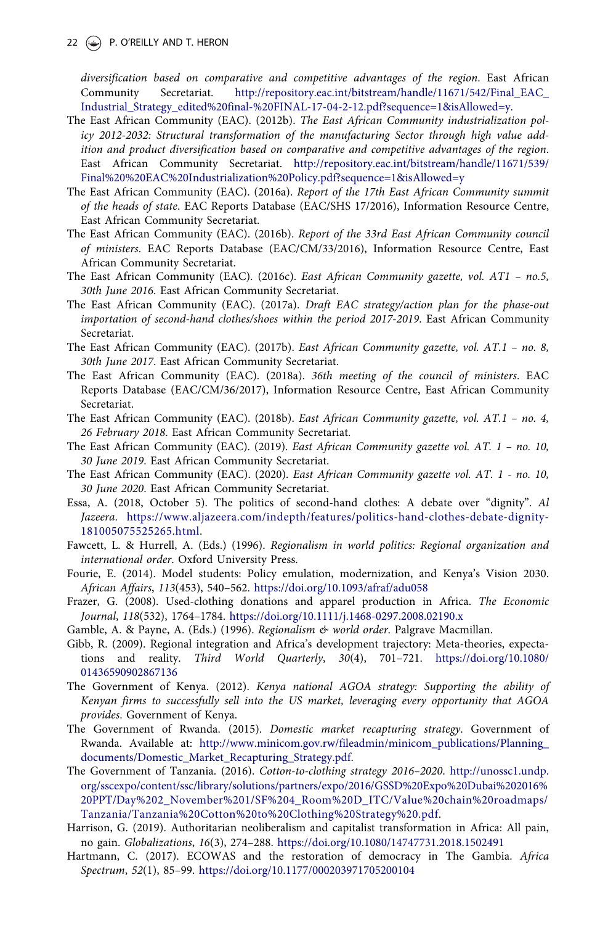22 • P. O'REILLY AND T. HERON

*diversification based on comparative and competitive advantages of the region*. East African Community Secretariat. http://repository.eac.int/bitstream/handle/11671/542/Final\_EAC\_ Industrial\_Strategy\_edited%20final-%20FINAL-17-04-2-12.pdf?sequence=1&isAllowed=y.

- The East African Community (EAC). (2012b). *The East African Community industrialization policy 2012-2032: Structural transformation of the manufacturing Sector through high value addition and product diversification based on comparative and competitive advantages of the region*. East African Community Secretariat. http://repository.eac.int/bitstream/handle/11671/539/ Final%20%20EAC%20Industrialization%20Policy.pdf?sequence=1&isAllowed=y
- The East African Community (EAC). (2016a). *Report of the 17th East African Community summit of the heads of state*. EAC Reports Database (EAC/SHS 17/2016), Information Resource Centre, East African Community Secretariat.
- The East African Community (EAC). (2016b). *Report of the 33rd East African Community council of ministers*. EAC Reports Database (EAC/CM/33/2016), Information Resource Centre, East African Community Secretariat.
- The East African Community (EAC). (2016c). *East African Community gazette, vol. AT1 no.5, 30th June 2016*. East African Community Secretariat.
- The East African Community (EAC). (2017a). *Draft EAC strategy/action plan for the phase-out importation of second-hand clothes/shoes within the period 2017-2019*. East African Community Secretariat.
- The East African Community (EAC). (2017b). *East African Community gazette, vol. AT.1 no. 8, 30th June 2017*. East African Community Secretariat.
- The East African Community (EAC). (2018a). *36th meeting of the council of ministers*. EAC Reports Database (EAC/CM/36/2017), Information Resource Centre, East African Community Secretariat.
- The East African Community (EAC). (2018b). *East African Community gazette, vol. AT.1 no. 4, 26 February 2018*. East African Community Secretariat.
- The East African Community (EAC). (2019). *East African Community gazette vol. AT. 1 no. 10, 30 June 2019*. East African Community Secretariat.
- The East African Community (EAC). (2020). *East African Community gazette vol. AT. 1 no. 10, 30 June 2020*. East African Community Secretariat.
- Essa, A. (2018, October 5). The politics of second-hand clothes: A debate over "dignity". *Al Jazeera*. https://www.aljazeera.com/indepth/features/politics-hand-clothes-debate-dignity-181005075525265.html.
- Fawcett, L. & Hurrell, A. (Eds.) (1996). *Regionalism in world politics: Regional organization and international order*. Oxford University Press.
- Fourie, E. (2014). Model students: Policy emulation, modernization, and Kenya's Vision 2030. *African Affairs*, *113*(453), 540–562. https://doi.org/10.1093/afraf/adu058
- Frazer, G. (2008). Used-clothing donations and apparel production in Africa. *The Economic Journal*, *118*(532), 1764–1784. https://doi.org/10.1111/j.1468-0297.2008.02190.x
- Gamble, A. & Payne, A. (Eds.) (1996). *Regionalism & world order*. Palgrave Macmillan.
- Gibb, R. (2009). Regional integration and Africa's development trajectory: Meta-theories, expectations and reality. *Third World Quarterly*, *30*(4), 701–721. https://doi.org/10.1080/ 01436590902867136
- The Government of Kenya. (2012). *Kenya national AGOA strategy: Supporting the ability of Kenyan firms to successfully sell into the US market, leveraging every opportunity that AGOA provides*. Government of Kenya.
- The Government of Rwanda. (2015). *Domestic market recapturing strategy*. Government of Rwanda. Available at: http://www.minicom.gov.rw/fileadmin/minicom\_publications/Planning\_ documents/Domestic\_Market\_Recapturing\_Strategy.pdf.
- The Government of Tanzania. (2016). *Cotton-to-clothing strategy 2016*–*2020*. http://unossc1.undp. org/sscexpo/content/ssc/library/solutions/partners/expo/2016/GSSD%20Expo%20Dubai%202016% 20PPT/Day%202\_November%201/SF%204\_Room%20D\_ITC/Value%20chain%20roadmaps/ Tanzania/Tanzania%20Cotton%20to%20Clothing%20Strategy%20.pdf.
- Harrison, G. (2019). Authoritarian neoliberalism and capitalist transformation in Africa: All pain, no gain. *Globalizations*, *16*(3), 274–288. https://doi.org/10.1080/14747731.2018.1502491
- Hartmann, C. (2017). ECOWAS and the restoration of democracy in The Gambia. *Africa Spectrum*, *52*(1), 85–99. https://doi.org/10.1177/000203971705200104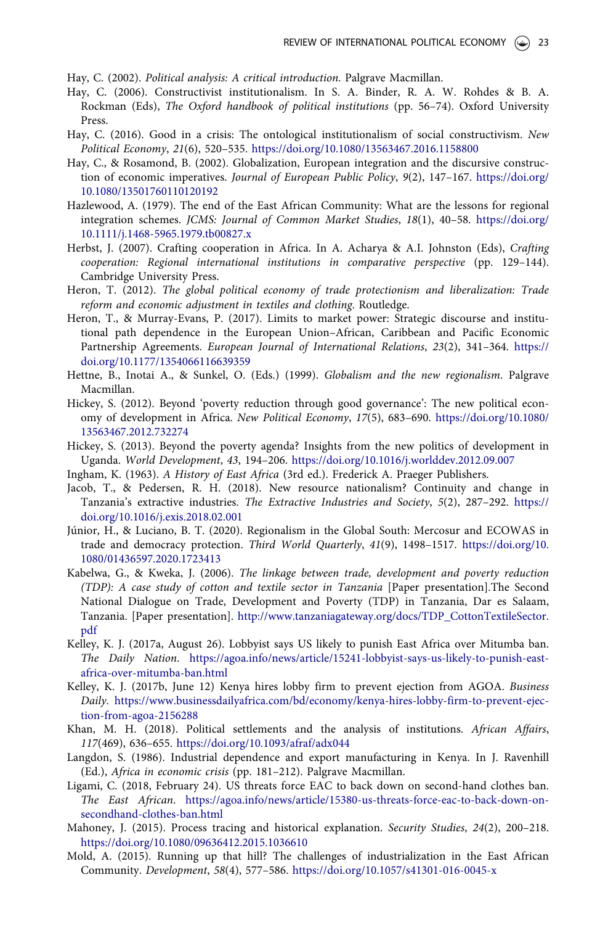Hay, C. (2002). *Political analysis: A critical introduction*. Palgrave Macmillan.

- Hay, C. (2006). Constructivist institutionalism. In S. A. Binder, R. A. W. Rohdes & B. A. Rockman (Eds), *The Oxford handbook of political institutions* (pp. 56–74). Oxford University Press.
- Hay, C. (2016). Good in a crisis: The ontological institutionalism of social constructivism. *New Political Economy*, *21*(6), 520–535. https://doi.org/10.1080/13563467.2016.1158800
- Hay, C., & Rosamond, B. (2002). Globalization, European integration and the discursive construction of economic imperatives. *Journal of European Public Policy*, *9*(2), 147–167. https://doi.org/ 10.1080/13501760110120192
- Hazlewood, A. (1979). The end of the East African Community: What are the lessons for regional integration schemes. *JCMS: Journal of Common Market Studies*, *18*(1), 40–58. https://doi.org/ 10.1111/j.1468-5965.1979.tb00827.x
- Herbst, J. (2007). Crafting cooperation in Africa. In A. Acharya & A.I. Johnston (Eds), *Crafting cooperation: Regional international institutions in comparative perspective* (pp. 129–144). Cambridge University Press.
- Heron, T. (2012). *The global political economy of trade protectionism and liberalization: Trade reform and economic adjustment in textiles and clothing*. Routledge.
- Heron, T., & Murray-Evans, P. (2017). Limits to market power: Strategic discourse and institutional path dependence in the European Union–African, Caribbean and Pacific Economic Partnership Agreements. *European Journal of International Relations*, *23*(2), 341–364. https:// doi.org/10.1177/1354066116639359
- Hettne, B., Inotai A., & Sunkel, O. (Eds.) (1999). *Globalism and the new regionalism*. Palgrave Macmillan.
- Hickey, S. (2012). Beyond 'poverty reduction through good governance': The new political economy of development in Africa. *New Political Economy*, *17*(5), 683–690. https://doi.org/10.1080/ 13563467.2012.732274
- Hickey, S. (2013). Beyond the poverty agenda? Insights from the new politics of development in Uganda. *World Development*, *43*, 194–206. https://doi.org/10.1016/j.worlddev.2012.09.007
- Ingham, K. (1963). *A History of East Africa* (3rd ed.). Frederick A. Praeger Publishers.
- Jacob, T., & Pedersen, R. H. (2018). New resource nationalism? Continuity and change in Tanzania's extractive industries. *The Extractive Industries and Society*, *5*(2), 287–292. https:// doi.org/10.1016/j.exis.2018.02.001
- Júnior, H., & Luciano, B. T. (2020). Regionalism in the Global South: Mercosur and ECOWAS in trade and democracy protection. *Third World Quarterly*, *41*(9), 1498–1517. https://doi.org/10. 1080/01436597.2020.1723413
- Kabelwa, G., & Kweka, J. (2006). *The linkage between trade, development and poverty reduction (TDP): A case study of cotton and textile sector in Tanzania* [Paper presentation].The Second National Dialogue on Trade, Development and Poverty (TDP) in Tanzania, Dar es Salaam, Tanzania. [Paper presentation]. http://www.tanzaniagateway.org/docs/TDP\_CottonTextileSector. pdf
- Kelley, K. J. (2017a, August 26). Lobbyist says US likely to punish East Africa over Mitumba ban. *The Daily Nation*. https://agoa.info/news/article/15241-lobbyist-says-us-likely-to-punish-eastafrica-over-mitumba-ban.html
- Kelley, K. J. (2017b, June 12) Kenya hires lobby firm to prevent ejection from AGOA. *Business Daily*. https://www.businessdailyafrica.com/bd/economy/kenya-hires-lobby-firm-to-prevent-ejection-from-agoa-2156288
- Khan, M. H. (2018). Political settlements and the analysis of institutions. *African Affairs*, *117*(469), 636–655. https://doi.org/10.1093/afraf/adx044
- Langdon, S. (1986). Industrial dependence and export manufacturing in Kenya. In J. Ravenhill (Ed.), *Africa in economic crisis* (pp. 181–212). Palgrave Macmillan.
- Ligami, C. (2018, February 24). US threats force EAC to back down on second-hand clothes ban. *The East African*. https://agoa.info/news/article/15380-us-threats-force-eac-to-back-down-onsecondhand-clothes-ban.html
- Mahoney, J. (2015). Process tracing and historical explanation. *Security Studies*, *24*(2), 200–218. https://doi.org/10.1080/09636412.2015.1036610
- Mold, A. (2015). Running up that hill? The challenges of industrialization in the East African Community. *Development*, *58*(4), 577–586. https://doi.org/10.1057/s41301-016-0045-x